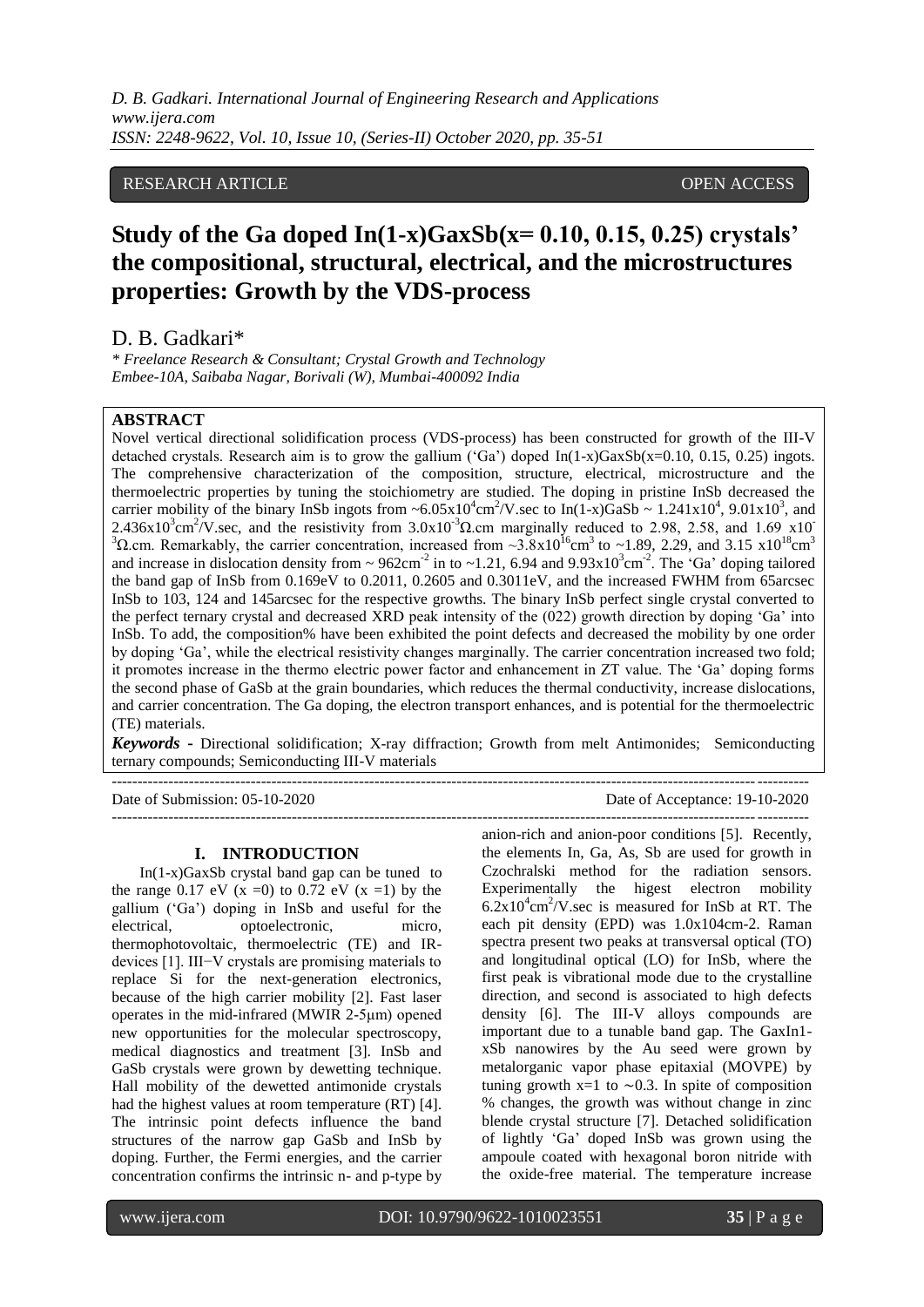# RESEARCH ARTICLE **CONSERVERS** OPEN ACCESS

# **Study of the Ga doped In(1-x)GaxSb(x= 0.10, 0.15, 0.25) crystals' the compositional, structural, electrical, and the microstructures properties: Growth by the VDS-process**

D. B. Gadkari\*

*\* Freelance Research & Consultant; Crystal Growth and Technology Embee-10A, Saibaba Nagar, Borivali (W), Mumbai-400092 India*

# **ABSTRACT**

Novel vertical directional solidification process (VDS-process) has been constructed for growth of the III-V detached crystals. Research aim is to grow the gallium ('Ga') doped  $In(1-x)GaxSb(x=0.10, 0.15, 0.25)$  ingots. The comprehensive characterization of the composition, structure, electrical, microstructure and the thermoelectric properties by tuning the stoichiometry are studied. The doping in pristine InSb decreased the carrier mobility of the binary InSb ingots from  $\sim 6.05 \times 10^4 \text{cm}^2/\text{V}$  sec to In(1-x)GaSb  $\sim 1.241 \times 10^4$ , 9.01x10<sup>3</sup>, and  $2.436x10^3$ cm<sup>2</sup>/V.sec, and the resistivity from  $3.0x10^{-3}$  $\Omega$ .cm marginally reduced to 2.98, 2.58, and 1.69 x10<sup>-</sup>  $3\Omega$ .cm. Remarkably, the carrier concentration, increased from ~3.8x10<sup>16</sup>cm<sup>3</sup> to ~1.89, 2.29, and 3.15 x10<sup>18</sup>cm<sup>3</sup> and increase in dislocation density from  $\sim 962 \text{cm}^{-2}$  in to  $\sim 1.21$ , 6.94 and  $9.93 \text{x} 10^3 \text{cm}^{-2}$ . The 'Ga' doping tailored the band gap of InSb from 0.169eV to 0.2011, 0.2605 and 0.3011eV, and the increased FWHM from 65arcsec InSb to 103, 124 and 145arcsec for the respective growths. The binary InSb perfect single crystal converted to the perfect ternary crystal and decreased XRD peak intensity of the (022) growth direction by doping "Ga" into InSb. To add, the composition% have been exhibited the point defects and decreased the mobility by one order by doping "Ga", while the electrical resistivity changes marginally. The carrier concentration increased two fold; it promotes increase in the thermo electric power factor and enhancement in ZT value. The "Ga" doping forms the second phase of GaSb at the grain boundaries, which reduces the thermal conductivity, increase dislocations, and carrier concentration. The Ga doping, the electron transport enhances, and is potential for the thermoelectric (TE) materials.

*Keywords* **-** Directional solidification; X-ray diffraction; Growth from melt Antimonides; Semiconducting ternary compounds; Semiconducting III-V materials

---------------------------------------------------------------------------------------------------------------------------------------

# **I. INTRODUCTION**

In(1-x)GaxSb crystal band gap can be tuned to the range  $0.17$  eV  $(x = 0)$  to  $0.72$  eV  $(x = 1)$  by the gallium ("Ga") doping in InSb and useful for the electrical, optoelectronic, micro, thermophotovoltaic, thermoelectric (TE) and IRdevices [1]. III−V crystals are promising materials to replace Si for the next-generation electronics, because of the high carrier mobility [2]. Fast laser operates in the mid-infrared (MWIR 2-5μm) opened new opportunities for the molecular spectroscopy, medical diagnostics and treatment [3]. InSb and GaSb crystals were grown by dewetting technique. Hall mobility of the dewetted antimonide crystals had the highest values at room temperature (RT) [4]. The intrinsic point defects influence the band structures of the narrow gap GaSb and InSb by doping. Further, the Fermi energies, and the carrier concentration confirms the intrinsic n- and p-type by

Date of Submission: 05-10-2020 Date of Acceptance: 19-10-2020  $-1\leq i\leq n-1$ 

> anion-rich and anion-poor conditions [5]. Recently, the elements In, Ga, As, Sb are used for growth in Czochralski method for the radiation sensors. Experimentally the higest electron mobility  $6.2x10^4$ cm<sup>2</sup>/V sec is measured for InSb at RT. The each pit density (EPD) was 1.0x104cm-2. Raman spectra present two peaks at transversal optical (TO) and longitudinal optical (LO) for InSb, where the first peak is vibrational mode due to the crystalline direction, and second is associated to high defects density [6]. The III-V alloys compounds are important due to a tunable band gap. The GaxIn1 xSb nanowires by the Au seed were grown by metalorganic vapor phase epitaxial (MOVPE) by tuning growth x=1 to  $\sim$ 0.3. In spite of composition % changes, the growth was without change in zinc blende crystal structure [7]. Detached solidification of lightly "Ga" doped InSb was grown using the ampoule coated with hexagonal boron nitride with the oxide-free material. The temperature increase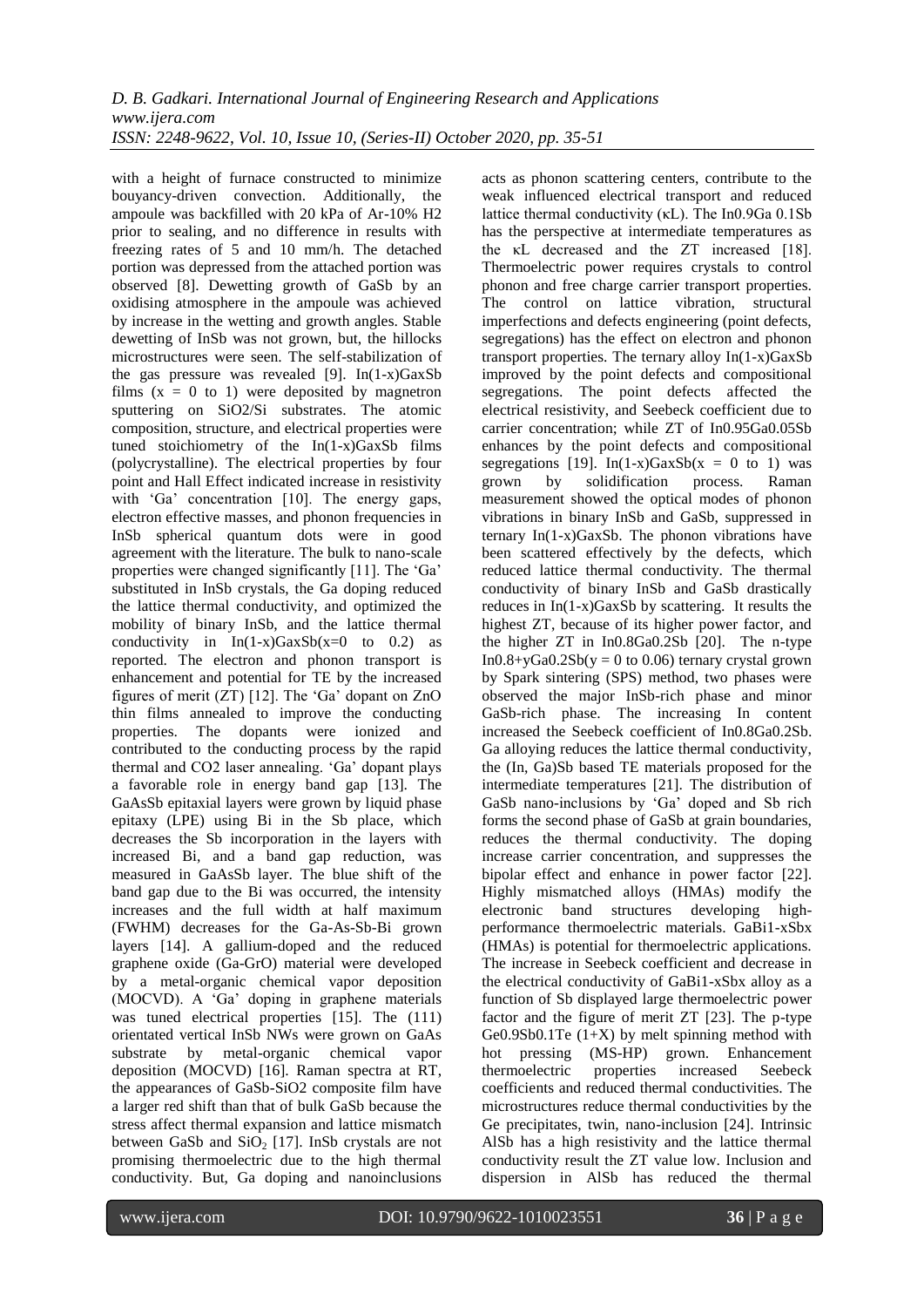with a height of furnace constructed to minimize bouyancy-driven convection. Additionally, the ampoule was backfilled with 20 kPa of Ar-10% H2 prior to sealing, and no difference in results with freezing rates of 5 and 10 mm/h. The detached portion was depressed from the attached portion was observed [8]. Dewetting growth of GaSb by an oxidising atmosphere in the ampoule was achieved by increase in the wetting and growth angles. Stable dewetting of InSb was not grown, but, the hillocks microstructures were seen. The self-stabilization of the gas pressure was revealed [9].  $In(1-x)GaxSb$ films  $(x = 0$  to 1) were deposited by magnetron sputtering on SiO2/Si substrates. The atomic composition, structure, and electrical properties were tuned stoichiometry of the In(1-x)GaxSb films (polycrystalline). The electrical properties by four point and Hall Effect indicated increase in resistivity with 'Ga' concentration [10]. The energy gaps, electron effective masses, and phonon frequencies in InSb spherical quantum dots were in good agreement with the literature. The bulk to nano-scale properties were changed significantly [11]. The "Ga" substituted in InSb crystals, the Ga doping reduced the lattice thermal conductivity, and optimized the mobility of binary InSb, and the lattice thermal conductivity in  $In(1-x)GaxSb(x=0$  to 0.2) as reported. The electron and phonon transport is enhancement and potential for TE by the increased figures of merit  $(ZT)$  [12]. The 'Ga' dopant on ZnO thin films annealed to improve the conducting properties. The dopants were ionized and contributed to the conducting process by the rapid thermal and CO2 laser annealing. "Ga" dopant plays a favorable role in energy band gap [13]. The GaAsSb epitaxial layers were grown by liquid phase epitaxy (LPE) using Bi in the Sb place, which decreases the Sb incorporation in the layers with increased Bi, and a band gap reduction, was measured in GaAsSb layer. The blue shift of the band gap due to the Bi was occurred, the intensity increases and the full width at half maximum (FWHM) decreases for the Ga-As-Sb-Bi grown layers [14]. A gallium-doped and the reduced graphene oxide (Ga-GrO) material were developed by a metal-organic chemical vapor deposition (MOCVD). A "Ga" doping in graphene materials was tuned electrical properties [15]. The (111) orientated vertical InSb NWs were grown on GaAs substrate by metal-organic chemical vapor deposition (MOCVD) [16]. Raman spectra at RT, the appearances of GaSb-SiO2 composite film have a larger red shift than that of bulk GaSb because the stress affect thermal expansion and lattice mismatch between GaSb and  $SiO<sub>2</sub>$  [17]. InSb crystals are not promising thermoelectric due to the high thermal conductivity. But, Ga doping and nanoinclusions

acts as phonon scattering centers, contribute to the weak influenced electrical transport and reduced lattice thermal conductivity (κL). The In0.9Ga 0.1Sb has the perspective at intermediate temperatures as the κL decreased and the ZT increased [18]. Thermoelectric power requires crystals to control phonon and free charge carrier transport properties. The control on lattice vibration, structural imperfections and defects engineering (point defects, segregations) has the effect on electron and phonon transport properties. The ternary alloy In(1-x)GaxSb improved by the point defects and compositional segregations. The point defects affected the electrical resistivity, and Seebeck coefficient due to carrier concentration; while ZT of In0.95Ga0.05Sb enhances by the point defects and compositional segregations [19]. In(1-x)GaxSb( $x = 0$  to 1) was<br>grown by solidification process. Raman grown by solidification process. measurement showed the optical modes of phonon vibrations in binary InSb and GaSb, suppressed in ternary In(1-x)GaxSb. The phonon vibrations have been scattered effectively by the defects, which reduced lattice thermal conductivity. The thermal conductivity of binary InSb and GaSb drastically reduces in In(1-x)GaxSb by scattering. It results the highest ZT, because of its higher power factor, and the higher ZT in In0.8Ga0.2Sb [20]. The n-type In $0.8 + yGa0.2Sb(y = 0$  to  $0.06$ ) ternary crystal grown by Spark sintering (SPS) method, two phases were observed the major InSb-rich phase and minor GaSb-rich phase. The increasing In content increased the Seebeck coefficient of In0.8Ga0.2Sb. Ga alloying reduces the lattice thermal conductivity, the (In, Ga)Sb based TE materials proposed for the intermediate temperatures [21]. The distribution of GaSb nano-inclusions by "Ga" doped and Sb rich forms the second phase of GaSb at grain boundaries, reduces the thermal conductivity. The doping increase carrier concentration, and suppresses the bipolar effect and enhance in power factor [22]. Highly mismatched alloys (HMAs) modify the electronic band structures developing highperformance thermoelectric materials. GaBi1-xSbx (HMAs) is potential for thermoelectric applications. The increase in Seebeck coefficient and decrease in the electrical conductivity of GaBi1-xSbx alloy as a function of Sb displayed large thermoelectric power factor and the figure of merit ZT [23]. The p-type Ge0.9Sb0.1Te  $(1+X)$  by melt spinning method with hot pressing (MS-HP) grown. Enhancement thermoelectric properties increased Seebeck coefficients and reduced thermal conductivities. The microstructures reduce thermal conductivities by the Ge precipitates, twin, nano-inclusion [24]. Intrinsic AlSb has a high resistivity and the lattice thermal conductivity result the ZT value low. Inclusion and dispersion in AlSb has reduced the thermal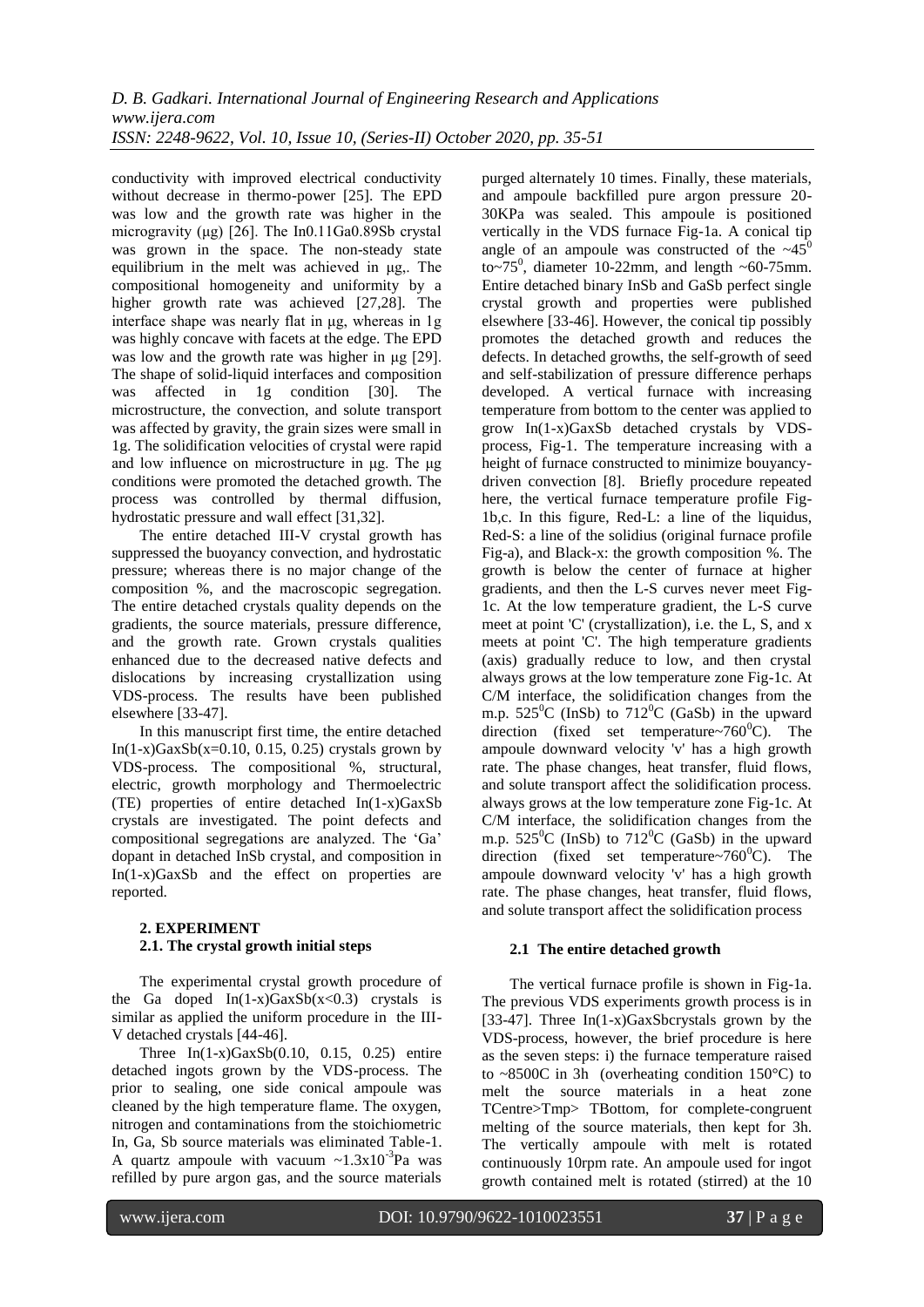conductivity with improved electrical conductivity without decrease in thermo-power [25]. The EPD was low and the growth rate was higher in the microgravity (μg) [26]. The In0.11Ga0.89Sb crystal was grown in the space. The non-steady state equilibrium in the melt was achieved in μg,. The compositional homogeneity and uniformity by a higher growth rate was achieved [27,28]. The interface shape was nearly flat in μg, whereas in 1g was highly concave with facets at the edge. The EPD was low and the growth rate was higher in μg [29]. The shape of solid-liquid interfaces and composition was affected in 1g condition [30]. The microstructure, the convection, and solute transport was affected by gravity, the grain sizes were small in 1g. The solidification velocities of crystal were rapid and low influence on microstructure in μg. The μg conditions were promoted the detached growth. The process was controlled by thermal diffusion, hydrostatic pressure and wall effect [31,32].

The entire detached III-V crystal growth has suppressed the buoyancy convection, and hydrostatic pressure; whereas there is no major change of the composition %, and the macroscopic segregation. The entire detached crystals quality depends on the gradients, the source materials, pressure difference, and the growth rate. Grown crystals qualities enhanced due to the decreased native defects and dislocations by increasing crystallization using VDS-process. The results have been published elsewhere [33-47].

In this manuscript first time, the entire detached In(1-x)GaxSb(x=0.10, 0.15, 0.25) crystals grown by VDS-process. The compositional %, structural, electric, growth morphology and Thermoelectric (TE) properties of entire detached In(1-x)GaxSb crystals are investigated. The point defects and compositional segregations are analyzed. The "Ga" dopant in detached InSb crystal, and composition in In(1-x)GaxSb and the effect on properties are reported.

# **2. EXPERIMENT 2.1. The crystal growth initial steps**

The experimental crystal growth procedure of the Ga doped  $In(1-x)GaxSb(x<0.3)$  crystals is similar as applied the uniform procedure in the III-V detached crystals [44-46].

Three In(1-x)GaxSb(0.10, 0.15, 0.25) entire detached ingots grown by the VDS-process. The prior to sealing, one side conical ampoule was cleaned by the high temperature flame. The oxygen, nitrogen and contaminations from the stoichiometric In, Ga, Sb source materials was eliminated Table-1. A quartz ampoule with vacuum  $\sim 1.3 \times 10^{-3}$ Pa was refilled by pure argon gas, and the source materials

purged alternately 10 times. Finally, these materials, and ampoule backfilled pure argon pressure 20- 30KPa was sealed. This ampoule is positioned vertically in the VDS furnace Fig-1a. A conical tip angle of an ampoule was constructed of the  $\sim 45^\circ$ to $\sim$ 75<sup>0</sup>, diameter 10-22mm, and length  $\sim$  60-75mm. Entire detached binary InSb and GaSb perfect single crystal growth and properties were published elsewhere [33-46]. However, the conical tip possibly promotes the detached growth and reduces the defects. In detached growths, the self-growth of seed and self-stabilization of pressure difference perhaps developed. A vertical furnace with increasing temperature from bottom to the center was applied to grow In(1-x)GaxSb detached crystals by VDSprocess, Fig-1. The temperature increasing with a height of furnace constructed to minimize bouyancydriven convection [8]. Briefly procedure repeated here, the vertical furnace temperature profile Fig-1b,c. In this figure, Red-L: a line of the liquidus, Red-S: a line of the solidius (original furnace profile Fig-a), and Black-x: the growth composition %. The growth is below the center of furnace at higher gradients, and then the L-S curves never meet Fig-1c. At the low temperature gradient, the L-S curve meet at point 'C' (crystallization), i.e. the L, S, and x meets at point 'C'. The high temperature gradients (axis) gradually reduce to low, and then crystal always grows at the low temperature zone Fig-1c. At C/M interface, the solidification changes from the m.p.  $525^{\circ}$ C (InSb) to  $712^{\circ}$ C (GaSb) in the upward direction (fixed set temperature~ $760^{\circ}$ C). The ampoule downward velocity 'v' has a high growth rate. The phase changes, heat transfer, fluid flows, and solute transport affect the solidification process. always grows at the low temperature zone Fig-1c. At C/M interface, the solidification changes from the m.p.  $525^{\circ}$ C (InSb) to  $712^{\circ}$ C (GaSb) in the upward direction (fixed set temperature~ $760^{\circ}$ C). The ampoule downward velocity 'v' has a high growth rate. The phase changes, heat transfer, fluid flows, and solute transport affect the solidification process

# **2.1 The entire detached growth**

The vertical furnace profile is shown in Fig-1a. The previous VDS experiments growth process is in [33-47]. Three  $In(1-x)GaxS bcrystals$  grown by the VDS-process, however, the brief procedure is here as the seven steps: i) the furnace temperature raised to  $\sim$ 8500C in 3h (overheating condition 150 $^{\circ}$ C) to melt the source materials in a heat zone TCentre>Tmp> TBottom, for complete-congruent melting of the source materials, then kept for 3h. The vertically ampoule with melt is rotated continuously 10rpm rate. An ampoule used for ingot growth contained melt is rotated (stirred) at the 10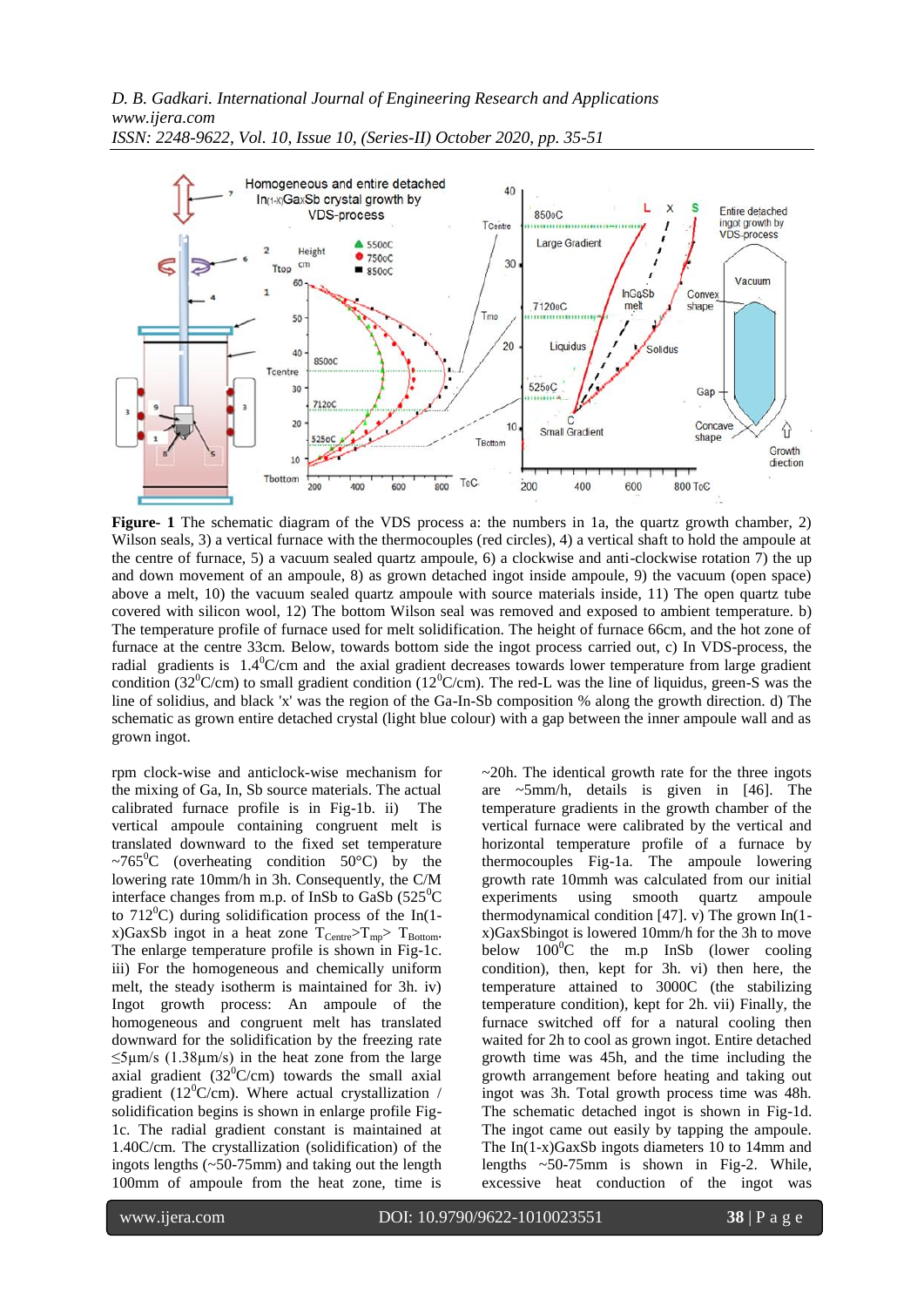

*ISSN: 2248-9622, Vol. 10, Issue 10, (Series-II) October 2020, pp. 35-51*

**Figure- 1** The schematic diagram of the VDS process a: the numbers in 1a, the quartz growth chamber, 2) Wilson seals, 3) a vertical furnace with the thermocouples (red circles), 4) a vertical shaft to hold the ampoule at the centre of furnace, 5) a vacuum sealed quartz ampoule, 6) a clockwise and anti-clockwise rotation 7) the up and down movement of an ampoule, 8) as grown detached ingot inside ampoule, 9) the vacuum (open space) above a melt, 10) the vacuum sealed quartz ampoule with source materials inside, 11) The open quartz tube covered with silicon wool, 12) The bottom Wilson seal was removed and exposed to ambient temperature. b) The temperature profile of furnace used for melt solidification. The height of furnace 66cm, and the hot zone of furnace at the centre 33cm. Below, towards bottom side the ingot process carried out, c) In VDS-process, the radial gradients is  $1.4^{\circ}$ C/cm and the axial gradient decreases towards lower temperature from large gradient condition (32<sup>o</sup>C/cm) to small gradient condition (12<sup>o</sup>C/cm). The red-L was the line of liquidus, green-S was the line of solidius, and black 'x' was the region of the Ga-In-Sb composition % along the growth direction. d) The schematic as grown entire detached crystal (light blue colour) with a gap between the inner ampoule wall and as grown ingot.

rpm clock-wise and anticlock-wise mechanism for the mixing of Ga, In, Sb source materials. The actual calibrated furnace profile is in Fig-1b. ii) The vertical ampoule containing congruent melt is translated downward to the fixed set temperature ~765<sup>o</sup>C (overheating condition 50<sup>o</sup>C) by the lowering rate 10mm/h in 3h. Consequently, the C/M interface changes from m.p. of InSb to GaSb  $(525^{\circ}C)$ to  $712^{\circ}$ C) during solidification process of the In(1x)GaxSb ingot in a heat zone  $T_{\text{Centre}} > T_{\text{mp}} > T_{\text{Bottom}}$ . The enlarge temperature profile is shown in Fig-1c. iii) For the homogeneous and chemically uniform melt, the steady isotherm is maintained for 3h. iv) Ingot growth process: An ampoule of the homogeneous and congruent melt has translated downward for the solidification by the freezing rate  $\leq$ 5µm/s (1.38µm/s) in the heat zone from the large axial gradient  $(32^0C/cm)$  towards the small axial gradient (12<sup>0</sup>C/cm). Where actual crystallization / solidification begins is shown in enlarge profile Fig-1c. The radial gradient constant is maintained at 1.40C/cm. The crystallization (solidification) of the ingots lengths (~50-75mm) and taking out the length 100mm of ampoule from the heat zone, time is

~20h. The identical growth rate for the three ingots are ~5mm/h, details is given in [46]. The temperature gradients in the growth chamber of the vertical furnace were calibrated by the vertical and horizontal temperature profile of a furnace by thermocouples Fig-1a. The ampoule lowering growth rate 10mmh was calculated from our initial experiments using smooth quartz ampoule thermodynamical condition [47]. v) The grown In(1 x)GaxSbingot is lowered 10mm/h for the 3h to move below  $100^{\circ}$ C the m.p InSb (lower cooling condition), then, kept for 3h. vi) then here, the temperature attained to 3000C (the stabilizing temperature condition), kept for 2h. vii) Finally, the furnace switched off for a natural cooling then waited for 2h to cool as grown ingot. Entire detached growth time was 45h, and the time including the growth arrangement before heating and taking out ingot was 3h. Total growth process time was 48h. The schematic detached ingot is shown in Fig-1d. The ingot came out easily by tapping the ampoule. The In(1-x)GaxSb ingots diameters 10 to 14mm and lengths ~50-75mm is shown in Fig-2. While, excessive heat conduction of the ingot was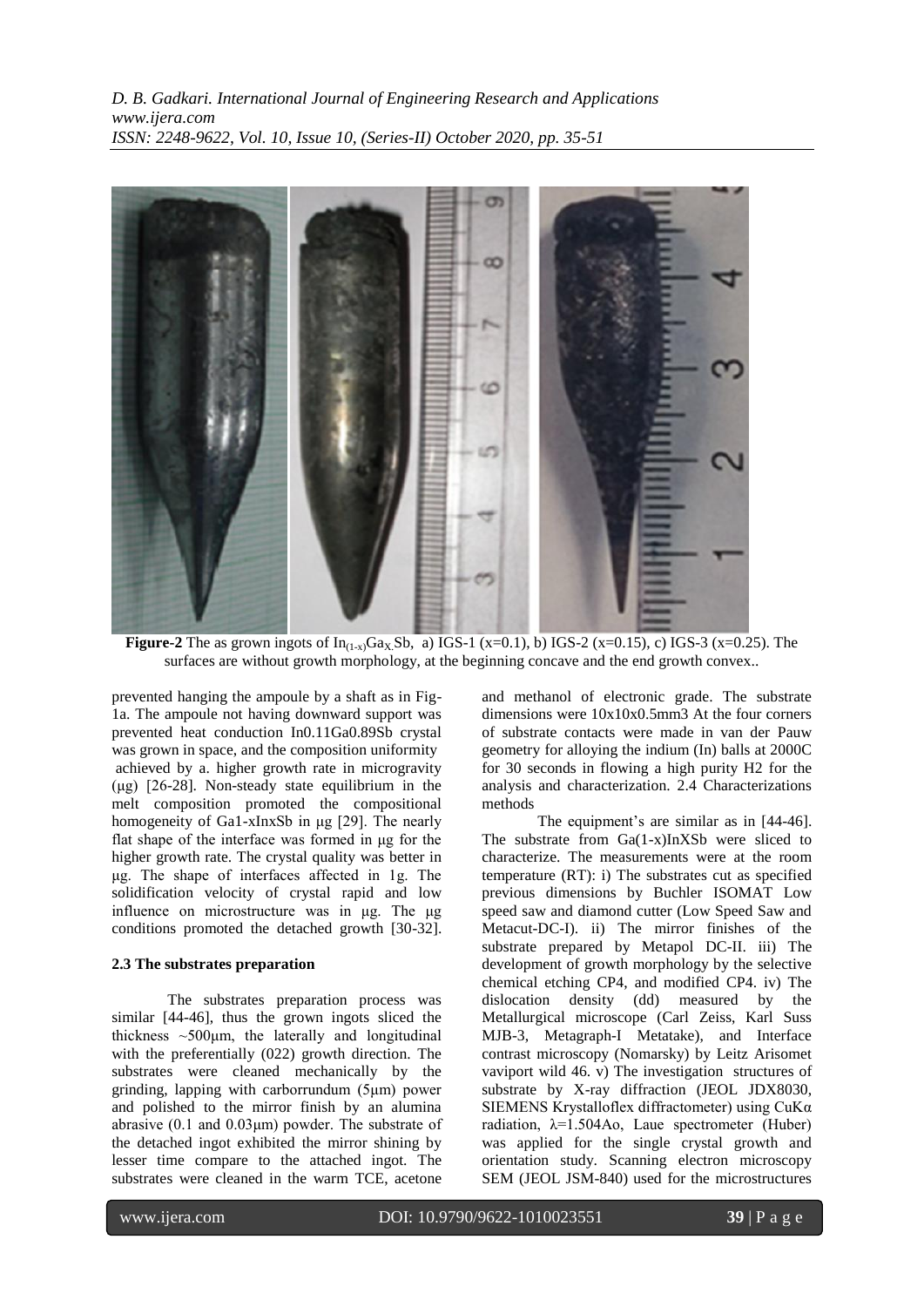

**Figure-2** The as grown ingots of  $In_{(1-x)}Ga_XSb$ , a) IGS-1 (x=0.1), b) IGS-2 (x=0.15), c) IGS-3 (x=0.25). The surfaces are without growth morphology, at the beginning concave and the end growth convex..

prevented hanging the ampoule by a shaft as in Fig-1a. The ampoule not having downward support was prevented heat conduction In0.11Ga0.89Sb crystal was grown in space, and the composition uniformity achieved by a. higher growth rate in microgravity (μg) [26-28]. Non-steady state equilibrium in the melt composition promoted the compositional homogeneity of Ga1-xInxSb in μg [29]. The nearly flat shape of the interface was formed in μg for the higher growth rate. The crystal quality was better in μg. The shape of interfaces affected in 1g. The solidification velocity of crystal rapid and low influence on microstructure was in μg. The μg conditions promoted the detached growth [30-32].

# **2.3 The substrates preparation**

The substrates preparation process was similar [44-46], thus the grown ingots sliced the thickness  $\sim$ 500 $\mu$ m, the laterally and longitudinal with the preferentially (022) growth direction. The substrates were cleaned mechanically by the grinding, lapping with carborrundum (5μm) power and polished to the mirror finish by an alumina abrasive (0.1 and 0.03μm) powder. The substrate of the detached ingot exhibited the mirror shining by lesser time compare to the attached ingot. The substrates were cleaned in the warm TCE, acetone

and methanol of electronic grade. The substrate dimensions were 10x10x0.5mm3 At the four corners of substrate contacts were made in van der Pauw geometry for alloying the indium (In) balls at 2000C for 30 seconds in flowing a high purity H2 for the analysis and characterization. 2.4 Characterizations methods

The equipment's are similar as in [44-46]. The substrate from Ga(1-x)InXSb were sliced to characterize. The measurements were at the room temperature (RT): i) The substrates cut as specified previous dimensions by Buchler ISOMAT Low speed saw and diamond cutter (Low Speed Saw and Metacut-DC-I). ii) The mirror finishes of the substrate prepared by Metapol DC-II. iii) The development of growth morphology by the selective chemical etching CP4, and modified CP4. iv) The dislocation density (dd) measured by the Metallurgical microscope (Carl Zeiss, Karl Suss MJB-3, Metagraph-I Metatake), and Interface contrast microscopy (Nomarsky) by Leitz Arisomet vaviport wild 46. v) The investigation structures of substrate by X-ray diffraction (JEOL JDX8030, SIEMENS Krystalloflex diffractometer) using CuKα radiation,  $\lambda=1.504$ Ao, Laue spectrometer (Huber) was applied for the single crystal growth and orientation study. Scanning electron microscopy SEM (JEOL JSM-840) used for the microstructures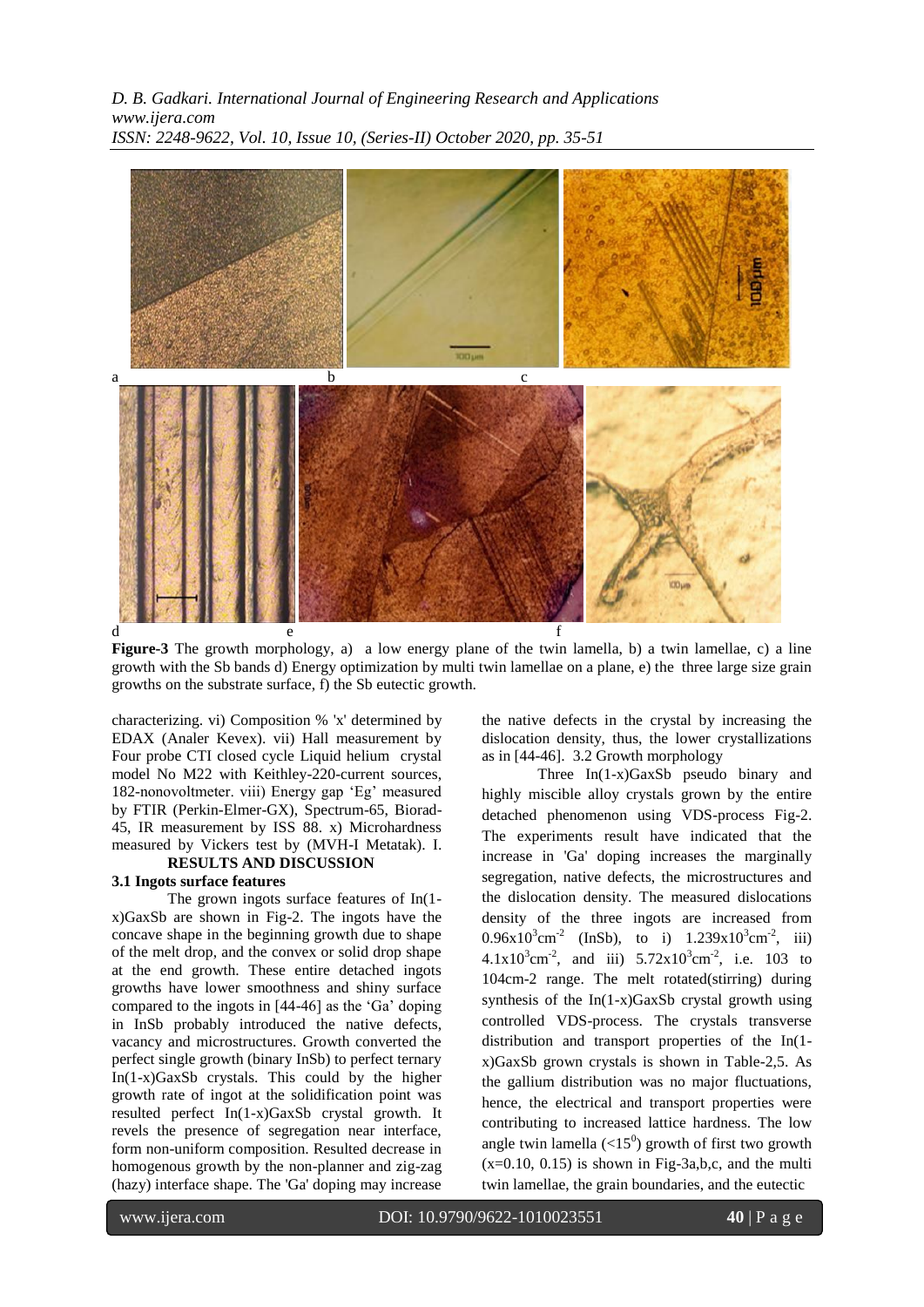

**Figure-3** The growth morphology, a) a low energy plane of the twin lamella, b) a twin lamellae, c) a line growth with the Sb bands d) Energy optimization by multi twin lamellae on a plane, e) the three large size grain growths on the substrate surface, f) the Sb eutectic growth.

characterizing. vi) Composition % 'x' determined by EDAX (Analer Kevex). vii) Hall measurement by Four probe CTI closed cycle Liquid helium crystal model No M22 with Keithley-220-current sources, 182-nonovoltmeter. viii) Energy gap 'Eg' measured by FTIR (Perkin-Elmer-GX), Spectrum-65, Biorad-45, IR measurement by ISS 88. x) Microhardness measured by Vickers test by (MVH-I Metatak). I. **RESULTS AND DISCUSSION**

# **3.1 Ingots surface features**

The grown ingots surface features of In(1 x)GaxSb are shown in Fig-2. The ingots have the concave shape in the beginning growth due to shape of the melt drop, and the convex or solid drop shape at the end growth. These entire detached ingots growths have lower smoothness and shiny surface compared to the ingots in [44-46] as the "Ga" doping in InSb probably introduced the native defects, vacancy and microstructures. Growth converted the perfect single growth (binary InSb) to perfect ternary In(1-x)GaxSb crystals. This could by the higher growth rate of ingot at the solidification point was resulted perfect In(1-x)GaxSb crystal growth. It revels the presence of segregation near interface, form non-uniform composition. Resulted decrease in homogenous growth by the non-planner and zig-zag (hazy) interface shape. The 'Ga' doping may increase

the native defects in the crystal by increasing the dislocation density, thus, the lower crystallizations as in [44-46]. 3.2 Growth morphology

 Three In(1-x)GaxSb pseudo binary and highly miscible alloy crystals grown by the entire detached phenomenon using VDS-process Fig-2. The experiments result have indicated that the increase in 'Ga' doping increases the marginally segregation, native defects, the microstructures and the dislocation density. The measured dislocations density of the three ingots are increased from  $0.96x10^3$ cm<sup>-2</sup> (InSb), to i)  $1.239x10^3$ cm<sup>-2</sup>, iii)  $4.1x10^3$ cm<sup>-2</sup>, and iii)  $5.72x10^3$ cm<sup>-2</sup>, i.e. 103 to 104cm-2 range. The melt rotated(stirring) during synthesis of the  $In(1-x)GaxSb$  crystal growth using controlled VDS-process. The crystals transverse distribution and transport properties of the In(1 x)GaxSb grown crystals is shown in Table-2,5. As the gallium distribution was no major fluctuations, hence, the electrical and transport properties were contributing to increased lattice hardness. The low angle twin lamella  $\left(\langle 15^0 \rangle \right)$  growth of first two growth  $(x=0.10, 0.15)$  is shown in Fig-3a,b,c, and the multi twin lamellae, the grain boundaries, and the eutectic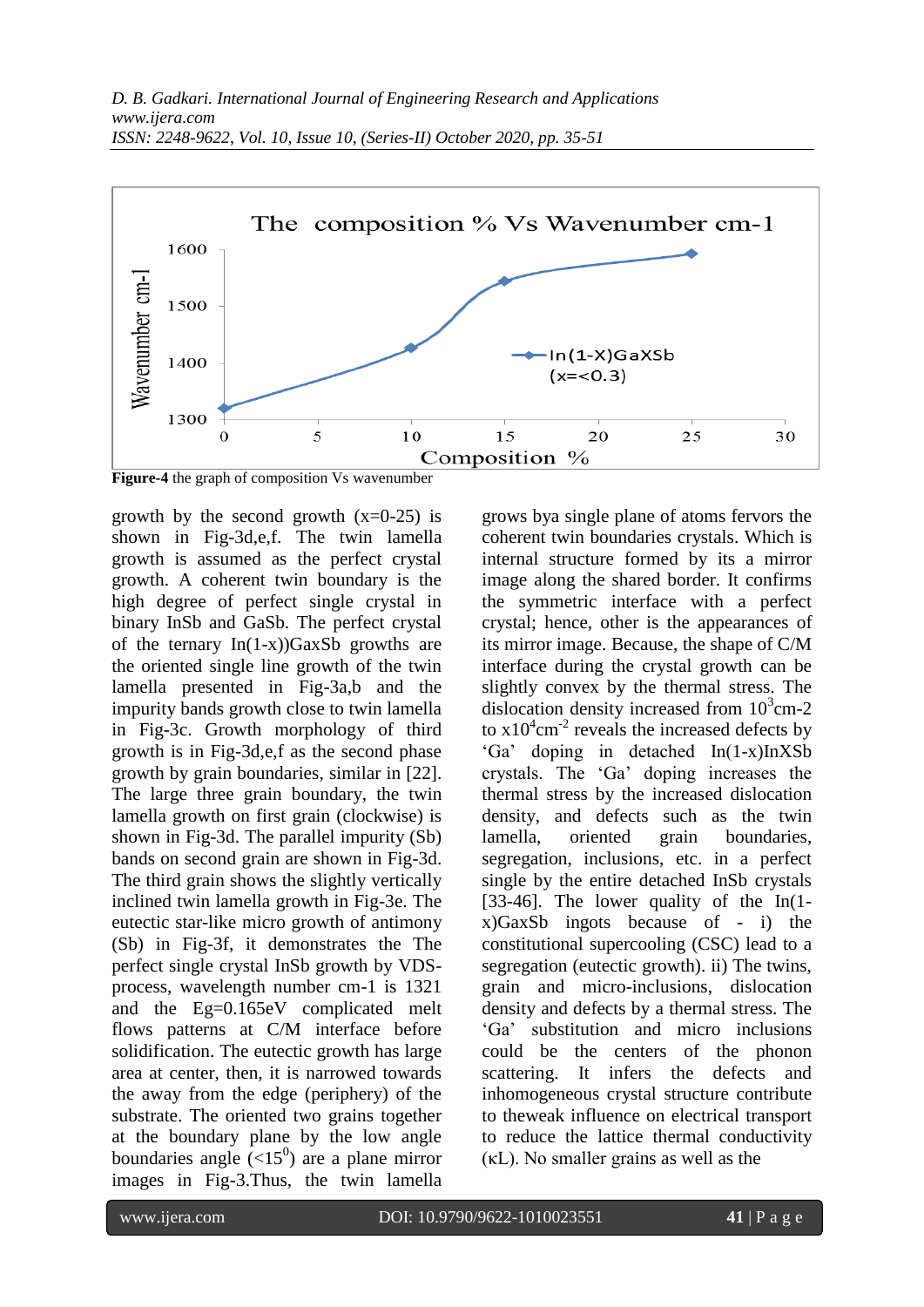

**Figure-4** the graph of composition Vs wavenumber

growth by the second growth  $(x=0-25)$  is shown in Fig-3d,e,f. The twin lamella growth is assumed as the perfect crystal growth. A coherent twin boundary is the high degree of perfect single crystal in binary InSb and GaSb. The perfect crystal of the ternary  $In(1-x)$ )GaxSb growths are the oriented single line growth of the twin lamella presented in Fig-3a,b and the impurity bands growth close to twin lamella in Fig-3c. Growth morphology of third growth is in Fig-3d,e,f as the second phase growth by grain boundaries, similar in [22]. The large three grain boundary, the twin lamella growth on first grain (clockwise) is shown in Fig-3d. The parallel impurity (Sb) bands on second grain are shown in Fig-3d. The third grain shows the slightly vertically inclined twin lamella growth in Fig-3e. The eutectic star-like micro growth of antimony (Sb) in Fig-3f, it demonstrates the The perfect single crystal InSb growth by VDSprocess, wavelength number cm-1 is 1321 and the Eg=0.165eV complicated melt flows patterns at C/M interface before solidification. The eutectic growth has large area at center, then, it is narrowed towards the away from the edge (periphery) of the substrate. The oriented two grains together at the boundary plane by the low angle boundaries angle  $(<15^0$ ) are a plane mirror images in Fig-3.Thus, the twin lamella

grows bya single plane of atoms fervors the coherent twin boundaries crystals. Which is internal structure formed by its a mirror image along the shared border. It confirms the symmetric interface with a perfect crystal; hence, other is the appearances of its mirror image. Because, the shape of C/M interface during the crystal growth can be slightly convex by the thermal stress. The dislocation density increased from  $10^3$ cm-2 to  $x10^4$ cm<sup>-2</sup> reveals the increased defects by "Ga" doping in detached In(1-x)InXSb crystals. The "Ga" doping increases the thermal stress by the increased dislocation density, and defects such as the twin lamella, oriented grain boundaries, segregation, inclusions, etc. in a perfect single by the entire detached InSb crystals [33-46]. The lower quality of the In(1 x)GaxSb ingots because of - i) the constitutional supercooling (CSC) lead to a segregation (eutectic growth). ii) The twins, grain and micro-inclusions, dislocation density and defects by a thermal stress. The "Ga" substitution and micro inclusions could be the centers of the phonon scattering. It infers the defects and inhomogeneous crystal structure contribute to theweak influence on electrical transport to reduce the lattice thermal conductivity (κL). No smaller grains as well as the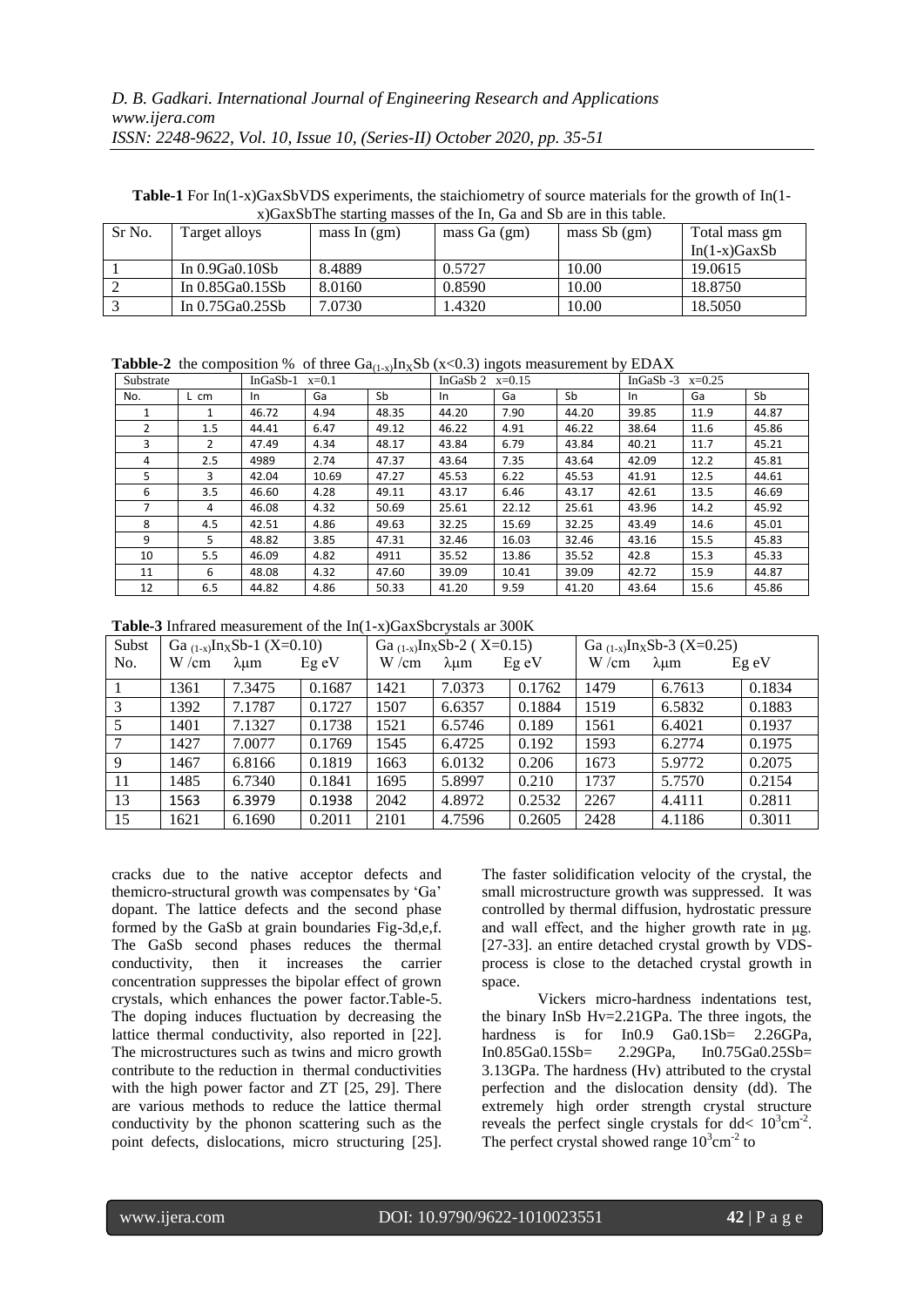**Table-1** For In(1-x)GaxSbVDS experiments, the staichiometry of source materials for the growth of In(1 x)GaxSbThe starting masses of the In, Ga and Sb are in this table.

| Sr No. | Target alloys     | mass In $(gm)$ | mass $Ga(gm)$ | mass $Sb$ (gm) | Total mass gm<br>$In(1-x)GaxSb$ |  |
|--------|-------------------|----------------|---------------|----------------|---------------------------------|--|
|        |                   |                |               |                |                                 |  |
|        | In $0.9Ga0.10Sb$  | 8.4889         | 0.5727        | 10.00          | 19.0615                         |  |
|        | In 0.85Ga0.15Sb   | 8.0160         | 0.8590        | 10.00          | 18.8750                         |  |
|        | In $0.75Ga0.25Sb$ | 7.0730         | 1.4320        | 10.00          | 18.5050                         |  |

**Tabble-2** the composition % of three  $Ga_{(1-x)}In_XSb$  (x<0.3) ingots measurement by EDAX

| Substrate |      | $InGaSb-1$<br>$x=0.1$ |       |       | InGaSb 2<br>$x=0.15$ |       |       | InGaS $b -3$<br>$x=0.25$ |      |       |
|-----------|------|-----------------------|-------|-------|----------------------|-------|-------|--------------------------|------|-------|
| No.       | L cm | In                    | Ga    | Sb    | In                   | Ga    | Sb    | In                       | Ga   | Sb    |
|           | 1    | 46.72                 | 4.94  | 48.35 | 44.20                | 7.90  | 44.20 | 39.85                    | 11.9 | 44.87 |
| 2         | 1.5  | 44.41                 | 6.47  | 49.12 | 46.22                | 4.91  | 46.22 | 38.64                    | 11.6 | 45.86 |
| ς         | 2    | 47.49                 | 4.34  | 48.17 | 43.84                | 6.79  | 43.84 | 40.21                    | 11.7 | 45.21 |
| 4         | 2.5  | 4989                  | 2.74  | 47.37 | 43.64                | 7.35  | 43.64 | 42.09                    | 12.2 | 45.81 |
| 5         | 3    | 42.04                 | 10.69 | 47.27 | 45.53                | 6.22  | 45.53 | 41.91                    | 12.5 | 44.61 |
| 6         | 3.5  | 46.60                 | 4.28  | 49.11 | 43.17                | 6.46  | 43.17 | 42.61                    | 13.5 | 46.69 |
|           | 4    | 46.08                 | 4.32  | 50.69 | 25.61                | 22.12 | 25.61 | 43.96                    | 14.2 | 45.92 |
| 8         | 4.5  | 42.51                 | 4.86  | 49.63 | 32.25                | 15.69 | 32.25 | 43.49                    | 14.6 | 45.01 |
| 9         | 5.   | 48.82                 | 3.85  | 47.31 | 32.46                | 16.03 | 32.46 | 43.16                    | 15.5 | 45.83 |
| 10        | 5.5  | 46.09                 | 4.82  | 4911  | 35.52                | 13.86 | 35.52 | 42.8                     | 15.3 | 45.33 |
| 11        | 6    | 48.08                 | 4.32  | 47.60 | 39.09                | 10.41 | 39.09 | 42.72                    | 15.9 | 44.87 |
| 12        | 6.5  | 44.82                 | 4.86  | 50.33 | 41.20                | 9.59  | 41.20 | 43.64                    | 15.6 | 45.86 |

**Table-3** Infrared measurement of the In(1-x)GaxSbcrystals ar 300K

| Subst | Ga $_{(1-x)}$ In <sub>X</sub> Sb-1 (X=0.10) |        |         | Ga $_{(1-x)}$ In <sub>X</sub> Sb-2 (X=0.15) |                 |         | Ga $_{(1-x)}$ In <sub>X</sub> Sb-3 (X=0.25) |                 |        |
|-------|---------------------------------------------|--------|---------|---------------------------------------------|-----------------|---------|---------------------------------------------|-----------------|--------|
| No.   | W/cm                                        | λum    | $Eg$ eV | W/cm                                        | $\lambda \mu m$ | $Eg$ eV | W/cm                                        | $\lambda \mu m$ | Eg eV  |
|       | 1361                                        | 7.3475 | 0.1687  | 1421                                        | 7.0373          | 0.1762  | 1479                                        | 6.7613          | 0.1834 |
| 3     | 1392                                        | 7.1787 | 0.1727  | 1507                                        | 6.6357          | 0.1884  | 1519                                        | 6.5832          | 0.1883 |
| 5     | 1401                                        | 7.1327 | 0.1738  | 1521                                        | 6.5746          | 0.189   | 1561                                        | 6.4021          | 0.1937 |
| 7     | 1427                                        | 7.0077 | 0.1769  | 1545                                        | 6.4725          | 0.192   | 1593                                        | 6.2774          | 0.1975 |
| 9     | 1467                                        | 6.8166 | 0.1819  | 1663                                        | 6.0132          | 0.206   | 1673                                        | 5.9772          | 0.2075 |
| -11   | 1485                                        | 6.7340 | 0.1841  | 1695                                        | 5.8997          | 0.210   | 1737                                        | 5.7570          | 0.2154 |
| 13    | 1563                                        | 6.3979 | 0.1938  | 2042                                        | 4.8972          | 0.2532  | 2267                                        | 4.4111          | 0.2811 |
| 15    | 1621                                        | 6.1690 | 0.2011  | 2101                                        | 4.7596          | 0.2605  | 2428                                        | 4.1186          | 0.3011 |

cracks due to the native acceptor defects and themicro-structural growth was compensates by "Ga" dopant. The lattice defects and the second phase formed by the GaSb at grain boundaries Fig-3d,e,f. The GaSb second phases reduces the thermal conductivity, then it increases the carrier concentration suppresses the bipolar effect of grown crystals, which enhances the power factor.Table-5. The doping induces fluctuation by decreasing the lattice thermal conductivity, also reported in [22]. The microstructures such as twins and micro growth contribute to the reduction in thermal conductivities with the high power factor and ZT [25, 29]. There are various methods to reduce the lattice thermal conductivity by the phonon scattering such as the point defects, dislocations, micro structuring [25].

The faster solidification velocity of the crystal, the small microstructure growth was suppressed. It was controlled by thermal diffusion, hydrostatic pressure and wall effect, and the higher growth rate in μg. [27-33]. an entire detached crystal growth by VDSprocess is close to the detached crystal growth in space.

Vickers micro-hardness indentations test, the binary InSb Hv=2.21GPa. The three ingots, the hardness is for In0.9 Ga0.1Sb= 2.26GPa,<br>In0.85Ga0.15Sb= 2.29GPa, In0.75Ga0.25Sb= In0.85Ga0.15Sb= 2.29GPa, In0.75Ga0.25Sb= 3.13GPa. The hardness (Hv) attributed to the crystal perfection and the dislocation density (dd). The extremely high order strength crystal structure reveals the perfect single crystals for  $dd < 10^3$ cm<sup>-2</sup>. The perfect crystal showed range  $10^3$ cm<sup>-2</sup> to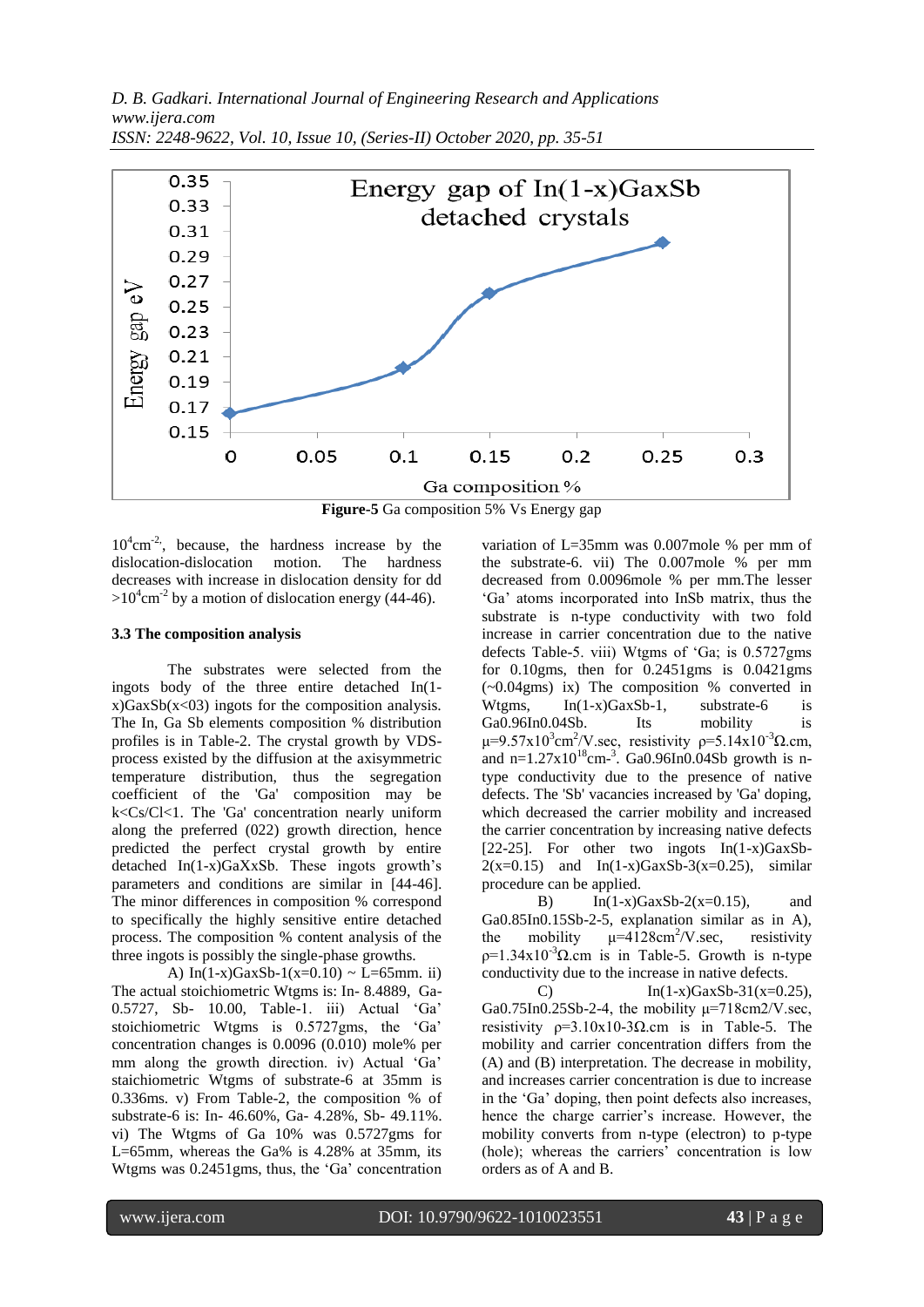

**Figure-5** Ga composition 5% Vs Energy gap

 $10^4$ cm<sup>-2</sup>, because, the hardness increase by the dislocation-dislocation motion. The hardness decreases with increase in dislocation density for dd  $>10^4$ cm<sup>-2</sup> by a motion of dislocation energy (44-46).

#### **3.3 The composition analysis**

The substrates were selected from the ingots body of the three entire detached In(1  $x)GaxSb(x<03)$  ingots for the composition analysis. The In, Ga Sb elements composition % distribution profiles is in Table-2. The crystal growth by VDSprocess existed by the diffusion at the axisymmetric temperature distribution, thus the segregation coefficient of the 'Ga' composition may be k<Cs/Cl<1. The 'Ga' concentration nearly uniform along the preferred (022) growth direction, hence predicted the perfect crystal growth by entire detached In(1-x)GaXxSb. These ingots growth"s parameters and conditions are similar in [44-46]. The minor differences in composition % correspond to specifically the highly sensitive entire detached process. The composition % content analysis of the three ingots is possibly the single-phase growths.

A)  $In(1-x)GaxSb-1(x=0.10) \sim L=65$ mm. ii) The actual stoichiometric Wtgms is: In- 8.4889, Ga-0.5727, Sb- 10.00, Table-1. iii) Actual "Ga" stoichiometric Wtgms is 0.5727gms, the "Ga" concentration changes is 0.0096 (0.010) mole% per mm along the growth direction. iv) Actual 'Ga' staichiometric Wtgms of substrate-6 at 35mm is 0.336ms. v) From Table-2, the composition % of substrate-6 is: In- 46.60%, Ga- 4.28%, Sb- 49.11%. vi) The Wtgms of Ga 10% was 0.5727gms for L=65mm, whereas the Ga% is 4.28% at 35mm, its Wtgms was 0.2451gms, thus, the "Ga" concentration

variation of L=35mm was 0.007mole % per mm of the substrate-6. vii) The 0.007mole % per mm decreased from 0.0096mole % per mm.The lesser "Ga" atoms incorporated into InSb matrix, thus the substrate is n-type conductivity with two fold increase in carrier concentration due to the native defects Table-5. viii) Wtgms of "Ga; is 0.5727gms for 0.10gms, then for 0.2451gms is 0.0421gms (~0.04gms) ix) The composition % converted in Wtgms, In(1-x)GaxSb-1, substrate-6 is Ga0.96In0.04Sb. Its mobility is  $\mu$ =9.57x10<sup>3</sup>cm<sup>2</sup>/V.sec, resistivity  $\rho$ =5.14x10<sup>-3</sup>Ω.cm, and n= $1.27 \times 10^{18}$ cm<sup>-3</sup>. Ga0.96In0.04Sb growth is ntype conductivity due to the presence of native defects. The 'Sb' vacancies increased by 'Ga' doping, which decreased the carrier mobility and increased the carrier concentration by increasing native defects [22-25]. For other two ingots  $In(1-x)GaxSb 2(x=0.15)$  and  $In(1-x)GaxSb-3(x=0.25)$ , similar procedure can be applied.

B) In(1-x)GaxSb-2(x=0.15), and Ga0.85In0.15Sb-2-5, explanation similar as in A), the mobility  $\mu=4128 \text{cm}^2/\text{V}$ .sec, resistivity  $p=1.34x10^{-3}\Omega$ .cm is in Table-5. Growth is n-type conductivity due to the increase in native defects.

C)  $In(1-x)GaxSb-31(x=0.25),$ Ga0.75In0.25Sb-2-4, the mobility  $\mu$ =718cm2/V.sec, resistivity  $p=3.10x10-3\Omega$ .cm is in Table-5. The mobility and carrier concentration differs from the (A) and (B) interpretation. The decrease in mobility, and increases carrier concentration is due to increase in the "Ga" doping, then point defects also increases, hence the charge carrier's increase. However, the mobility converts from n-type (electron) to p-type (hole); whereas the carriers' concentration is low orders as of A and B.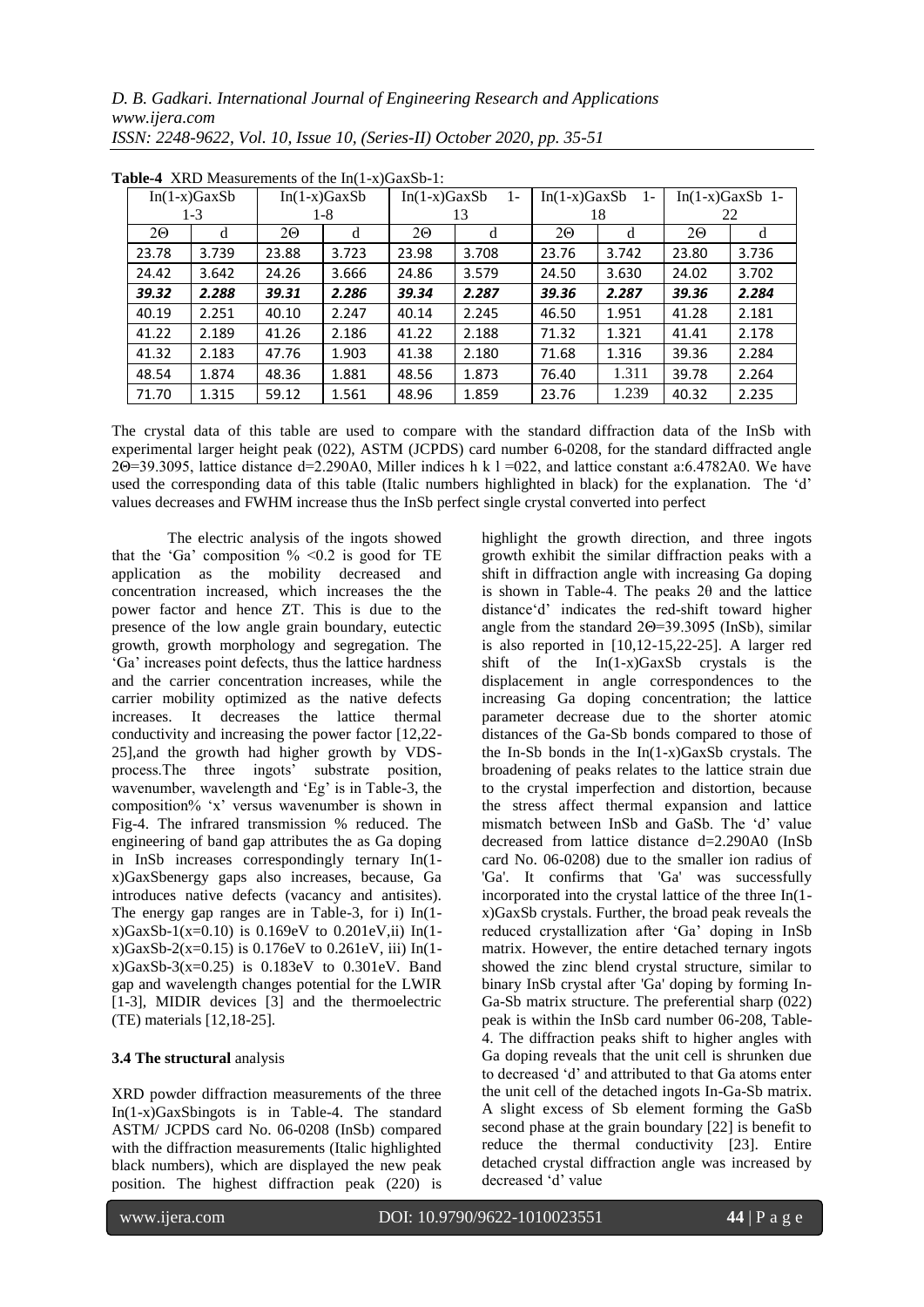| $\mathbf{u}$ and $\mathbf{u}$ and $\mathbf{u}$ and $\mathbf{u}$ and $\mathbf{u}$ and $\mathbf{u}$ and $\mathbf{u}$ and $\mathbf{u}$ |         |                |       |                         |       |                         |       |                   |       |
|-------------------------------------------------------------------------------------------------------------------------------------|---------|----------------|-------|-------------------------|-------|-------------------------|-------|-------------------|-------|
| $In(1-x)GaxSb$                                                                                                                      |         | $In(1-x)GaxSb$ |       | $In(1-x)GaxSb$<br>$1 -$ |       | $In(1-x)GaxSb$<br>$1 -$ |       | $In(1-x)GaxSb$ 1- |       |
|                                                                                                                                     | $1 - 3$ |                | 1-8   |                         | 13    |                         | 18    |                   | 22    |
| 20                                                                                                                                  | d       | 20             | d     | 20                      | d     | 20                      | d     | 20                | d     |
| 23.78                                                                                                                               | 3.739   | 23.88          | 3.723 | 23.98                   | 3.708 | 23.76                   | 3.742 | 23.80             | 3.736 |
| 24.42                                                                                                                               | 3.642   | 24.26          | 3.666 | 24.86                   | 3.579 | 24.50                   | 3.630 | 24.02             | 3.702 |
| 39.32                                                                                                                               | 2.288   | 39.31          | 2.286 | 39.34                   | 2.287 | 39.36                   | 2.287 | 39.36             | 2.284 |
| 40.19                                                                                                                               | 2.251   | 40.10          | 2.247 | 40.14                   | 2.245 | 46.50                   | 1.951 | 41.28             | 2.181 |
| 41.22                                                                                                                               | 2.189   | 41.26          | 2.186 | 41.22                   | 2.188 | 71.32                   | 1.321 | 41.41             | 2.178 |
| 41.32                                                                                                                               | 2.183   | 47.76          | 1.903 | 41.38                   | 2.180 | 71.68                   | 1.316 | 39.36             | 2.284 |
| 48.54                                                                                                                               | 1.874   | 48.36          | 1.881 | 48.56                   | 1.873 | 76.40                   | 1.311 | 39.78             | 2.264 |
| 71.70                                                                                                                               | 1.315   | 59.12          | 1.561 | 48.96                   | 1.859 | 23.76                   | 1.239 | 40.32             | 2.235 |

**Table-4** XRD Measurements of the In(1-x)GaxSb-1:

The crystal data of this table are used to compare with the standard diffraction data of the InSb with experimental larger height peak (022), ASTM (JCPDS) card number 6-0208, for the standard diffracted angle 2Θ=39.3095, lattice distance d=2.290A0, Miller indices h k l =022, and lattice constant a:6.4782A0. We have used the corresponding data of this table (Italic numbers highlighted in black) for the explanation. The "d" values decreases and FWHM increase thus the InSb perfect single crystal converted into perfect

The electric analysis of the ingots showed that the 'Ga' composition  $\%$  <0.2 is good for TE application as the mobility decreased and concentration increased, which increases the the power factor and hence ZT. This is due to the presence of the low angle grain boundary, eutectic growth, growth morphology and segregation. The "Ga" increases point defects, thus the lattice hardness and the carrier concentration increases, while the carrier mobility optimized as the native defects increases. It decreases the lattice thermal conductivity and increasing the power factor [12,22- 25],and the growth had higher growth by VDSprocess.The three ingots" substrate position, wavenumber, wavelength and 'Eg' is in Table-3, the composition% "x" versus wavenumber is shown in Fig-4. The infrared transmission % reduced. The engineering of band gap attributes the as Ga doping in InSb increases correspondingly ternary In(1 x)GaxSbenergy gaps also increases, because, Ga introduces native defects (vacancy and antisites). The energy gap ranges are in Table-3, for i) In(1  $x)$ GaxSb-1(x=0.10) is 0.169eV to 0.201eV,ii) In(1 $x)$ GaxSb-2(x=0.15) is 0.176eV to 0.261eV, iii) In(1 $x)$ GaxSb-3(x=0.25) is 0.183eV to 0.301eV. Band gap and wavelength changes potential for the LWIR [1-3], MIDIR devices [3] and the thermoelectric (TE) materials [12,18-25].

#### **3.4 The structural** analysis

XRD powder diffraction measurements of the three In(1-x)GaxSbingots is in Table-4. The standard ASTM/ JCPDS card No. 06-0208 (InSb) compared with the diffraction measurements (Italic highlighted black numbers), which are displayed the new peak position. The highest diffraction peak (220) is

highlight the growth direction, and three ingots growth exhibit the similar diffraction peaks with a shift in diffraction angle with increasing Ga doping is shown in Table-4. The peaks  $2\theta$  and the lattice distance"d" indicates the red-shift toward higher angle from the standard 2Θ=39.3095 (InSb), similar is also reported in [10,12-15,22-25]. A larger red shift of the In(1-x)GaxSb crystals is the displacement in angle correspondences to the increasing Ga doping concentration; the lattice parameter decrease due to the shorter atomic distances of the Ga-Sb bonds compared to those of the In-Sb bonds in the In(1-x)GaxSb crystals. The broadening of peaks relates to the lattice strain due to the crystal imperfection and distortion, because the stress affect thermal expansion and lattice mismatch between InSb and GaSb. The "d" value decreased from lattice distance d=2.290A0 (InSb card No. 06-0208) due to the smaller ion radius of 'Ga'. It confirms that 'Ga' was successfully incorporated into the crystal lattice of the three In(1 x)GaxSb crystals. Further, the broad peak reveals the reduced crystallization after "Ga" doping in InSb matrix. However, the entire detached ternary ingots showed the zinc blend crystal structure, similar to binary InSb crystal after 'Ga' doping by forming In-Ga-Sb matrix structure. The preferential sharp (022) peak is within the InSb card number 06-208, Table-4. The diffraction peaks shift to higher angles with Ga doping reveals that the unit cell is shrunken due to decreased "d" and attributed to that Ga atoms enter the unit cell of the detached ingots In-Ga-Sb matrix. A slight excess of Sb element forming the GaSb second phase at the grain boundary [22] is benefit to reduce the thermal conductivity [23]. Entire detached crystal diffraction angle was increased by decreased 'd' value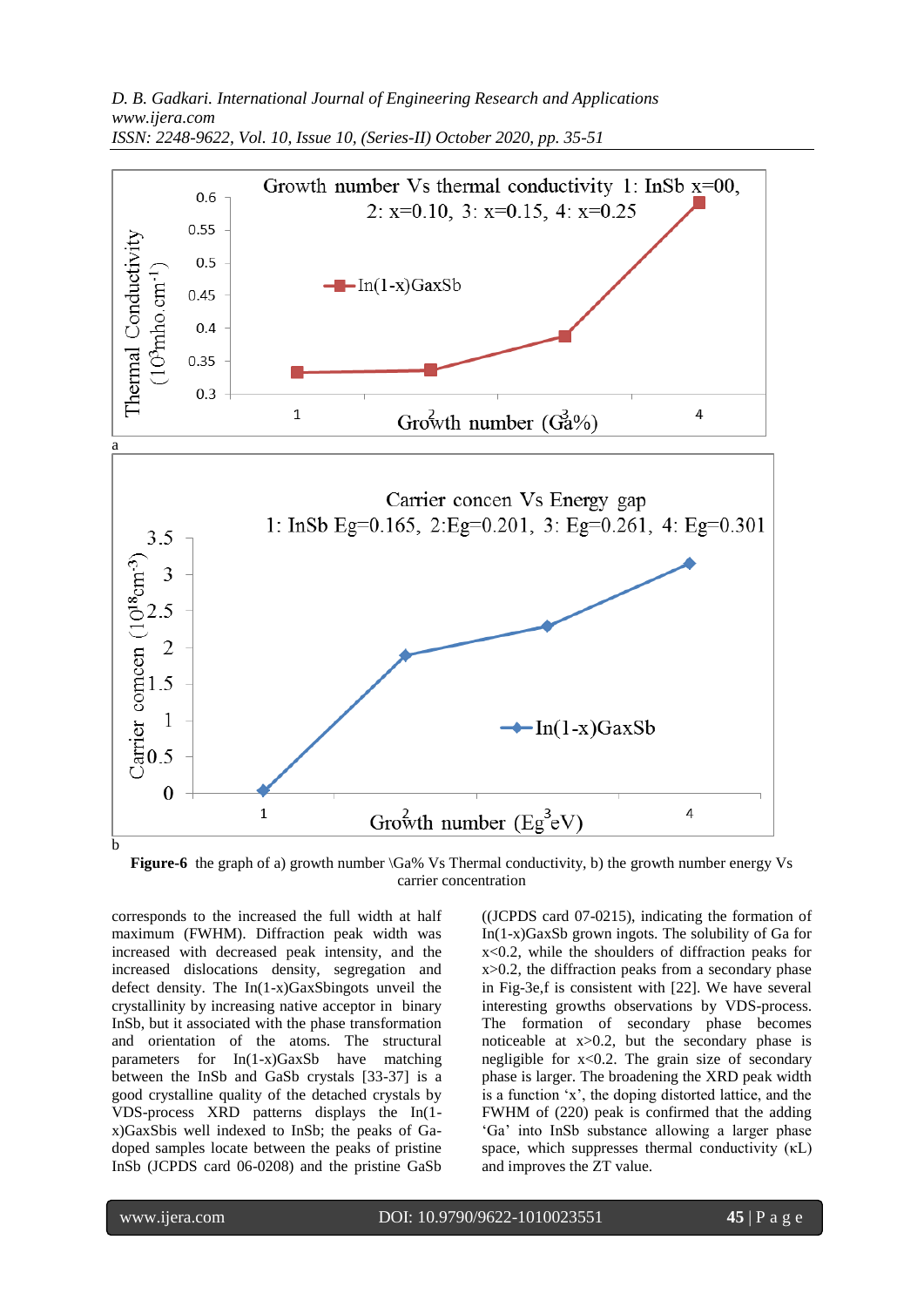

Figure-6 the graph of a) growth number  $\langle Ga\% \text{ Vs Thermal conductivity}, b \rangle$  the growth number energy Vs carrier concentration

corresponds to the increased the full width at half maximum (FWHM). Diffraction peak width was increased with decreased peak intensity, and the increased dislocations density, segregation and defect density. The In(1-x)GaxSbingots unveil the crystallinity by increasing native acceptor in binary InSb, but it associated with the phase transformation and orientation of the atoms. The structural parameters for  $In(1-x)GaxSb$  have matching between the InSb and GaSb crystals [33-37] is a good crystalline quality of the detached crystals by VDS-process XRD patterns displays the In(1 x)GaxSbis well indexed to InSb; the peaks of Gadoped samples locate between the peaks of pristine InSb (JCPDS card 06-0208) and the pristine GaSb ((JCPDS card 07-0215), indicating the formation of In(1-x)GaxSb grown ingots. The solubility of Ga for x<0.2, while the shoulders of diffraction peaks for x>0.2, the diffraction peaks from a secondary phase in Fig-3e,f is consistent with [22]. We have several interesting growths observations by VDS-process. The formation of secondary phase becomes noticeable at  $x>0.2$ , but the secondary phase is negligible for  $x < 0.2$ . The grain size of secondary phase is larger. The broadening the XRD peak width is a function "x", the doping distorted lattice, and the FWHM of (220) peak is confirmed that the adding "Ga" into InSb substance allowing a larger phase space, which suppresses thermal conductivity (κL) and improves the ZT value.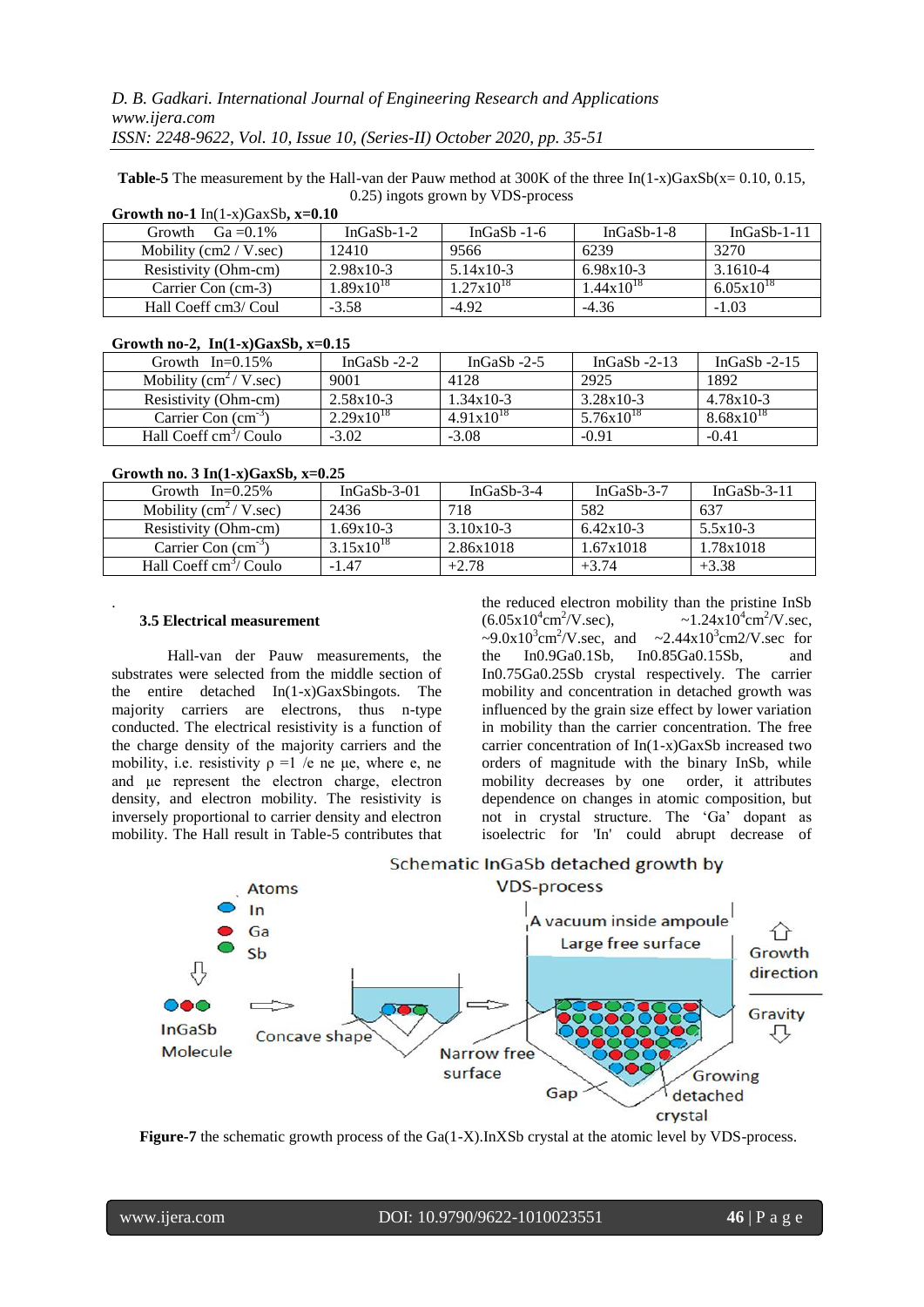**Table-5** The measurement by the Hall-van der Pauw method at  $300K$  of the three  $In(1-x)GaxSb(x= 0.10, 0.15, ...)$ 0.25) ingots grown by VDS-process

| $Ga = 0.1\%$<br>Growth    | In $GaSb-1-2$  | In $GaSb - 1-6$       | $In GaSb-1-8$         | $In GaSb-1-11$        |
|---------------------------|----------------|-----------------------|-----------------------|-----------------------|
| Mobility $(cm2 / V. sec)$ | 12410          | 9566                  | 6239                  | 3270                  |
| Resistivity (Ohm-cm)      | $2.98x10-3$    | $5.14x10-3$           | 6.98x10-3             | 3.1610-4              |
| Carrier Con (cm-3)        | $1.89x10^{18}$ | $1.27 \times 10^{18}$ | $1.44 \times 10^{18}$ | $6.05 \times 10^{18}$ |
| Hall Coeff cm3/ Coul      | $-3.58$        | $-4.92$               | $-4.36$               | $-1.03$               |

**Growth no-1** In(1-x)GaxSb**, x=0.10**

#### **Growth no-2, In(1-x)GaxSb, x=0.15**

| Growth $In=0.15\%$                         | In $GaSb - 2-2$ | InGaS <sub>b</sub> -2-5 | InGaSb $-2-13$ | InGaSh $-2-15$        |
|--------------------------------------------|-----------------|-------------------------|----------------|-----------------------|
| Mobility $\text{cm}^2/\text{V}.\text{sec}$ | 9001            | 4128                    | 2925           | 1892                  |
| Resistivity (Ohm-cm)                       | $2.58x10-3$     | $1.34 \times 10-3$      | $3.28x10-3$    | $4.78x10-3$           |
| Carrier Con $(cm-3)$                       | $2.29x10^{18}$  | $4.91x10^{18}$          | $5.76x10^{18}$ | $8.68 \times 10^{18}$ |
| Hall Coeff cm <sup>3</sup> / Coulo         | $-3.02$         | $-3.08$                 | $-0.91$        | $-0.41$               |

**Growth no. 3 In(1-x)GaxSb, x=0.25**

| $0.0100$ and $0.0000$ and $0.0000$ and $0.0000$ |                |             |                       |             |  |  |  |
|-------------------------------------------------|----------------|-------------|-----------------------|-------------|--|--|--|
| Growth $In=0.25\%$                              | In $GaSb-3-01$ | InGaSb-3-4  | InGaSb- $3-7$         | InGaSb-3-11 |  |  |  |
| Mobility $\text{cm}^2/\text{V}.\text{sec}$      | 2436           | 718         | 582                   | 637         |  |  |  |
| Resistivity (Ohm-cm)                            | $1.69x10-3$    | $3.10x10-3$ | $6.42 \times 10^{-3}$ | $5.5x10-3$  |  |  |  |
| Carrier Con $(cm-3)$                            | $3.15x10^{18}$ | 2.86x1018   | 1.67x1018             | 1.78x1018   |  |  |  |
| Hall Coeff cm <sup>3</sup> / Coulo              | $-1.47$        | $+2.78$     | $+3.74$               | $+3.38$     |  |  |  |
|                                                 |                |             |                       |             |  |  |  |

#### **3.5 Electrical measurement**

.

Hall-van der Pauw measurements, the substrates were selected from the middle section of the entire detached In(1-x)GaxSbingots. The majority carriers are electrons, thus n-type conducted. The electrical resistivity is a function of the charge density of the majority carriers and the mobility, i.e. resistivity  $\rho = 1$  /e ne μe, where e, ne and μe represent the electron charge, electron density, and electron mobility. The resistivity is inversely proportional to carrier density and electron mobility. The Hall result in Table-5 contributes that

the reduced electron mobility than the pristine InSb  $(6.05x10^4cm^2)$  $\gamma V.$ sec),  $\sim 1.24 \times 10^4 \text{cm}^2/\text{V}$ .sec, ~9.0x10<sup>3</sup>cm<sup>2</sup>/V.sec, and ~2.44x10<sup>3</sup>cm2/V.sec for the In0.9Ga0.1Sb, In0.85Ga0.15Sb, and In0.75Ga0.25Sb crystal respectively. The carrier mobility and concentration in detached growth was influenced by the grain size effect by lower variation in mobility than the carrier concentration. The free carrier concentration of In(1-x)GaxSb increased two orders of magnitude with the binary InSb, while mobility decreases by one order, it attributes dependence on changes in atomic composition, but not in crystal structure. The "Ga" dopant as isoelectric for 'In' could abrupt decrease of



Schematic InGaSb detached growth by

**Figure-7** the schematic growth process of the Ga(1-X).InXSb crystal at the atomic level by VDS-process.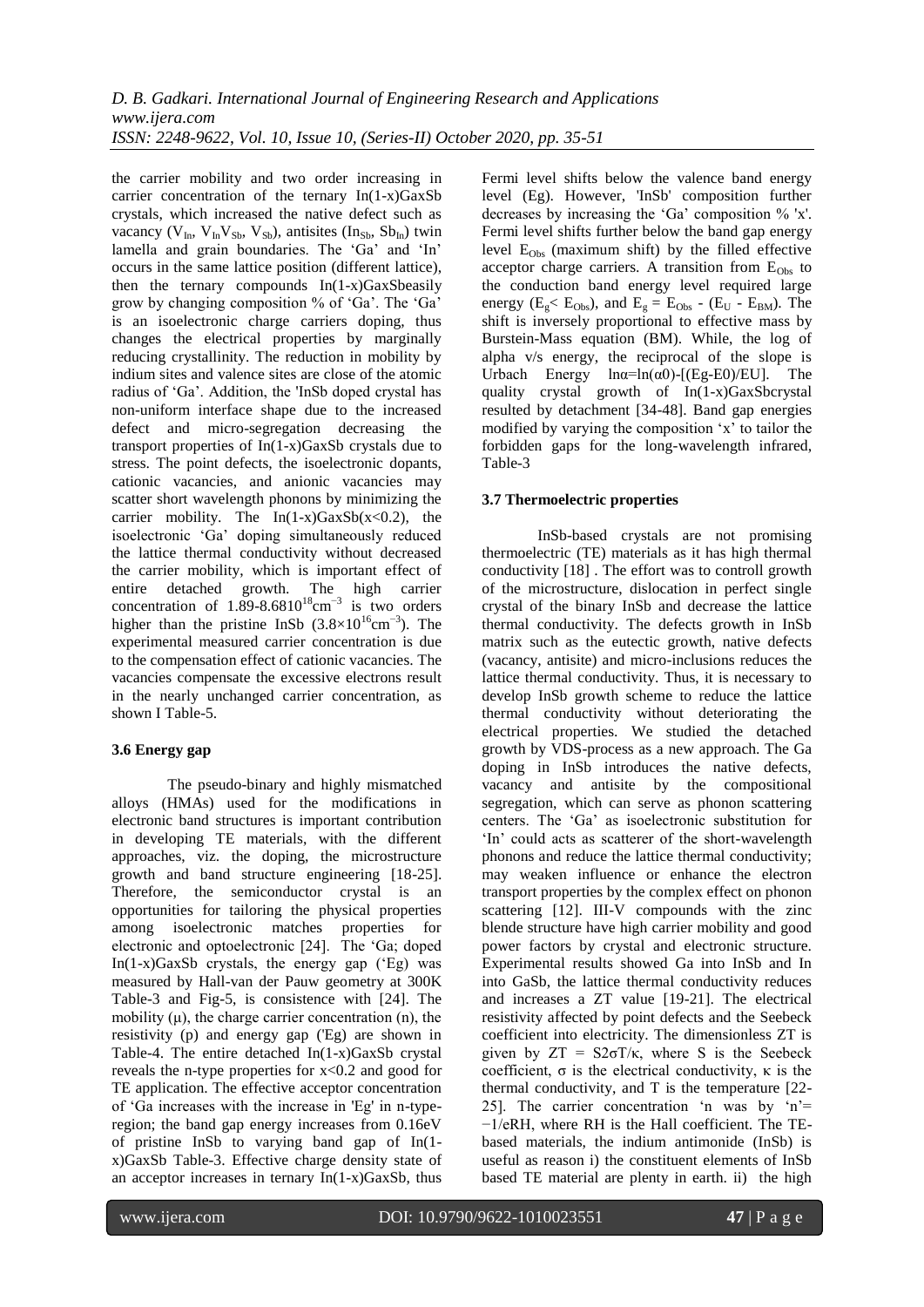the carrier mobility and two order increasing in carrier concentration of the ternary In(1-x)GaxSb crystals, which increased the native defect such as vacancy ( $V_{In}$ ,  $V_{In}V_{Sb}$ ,  $V_{Sb}$ ), antisites (In<sub>Sb</sub>, Sb<sub>In</sub>) twin lamella and grain boundaries. The 'Ga' and 'In' occurs in the same lattice position (different lattice), then the ternary compounds  $In(1-x)GaxS  
beasily$ grow by changing composition % of "Ga". The "Ga" is an isoelectronic charge carriers doping, thus changes the electrical properties by marginally reducing crystallinity. The reduction in mobility by indium sites and valence sites are close of the atomic radius of "Ga". Addition, the 'InSb doped crystal has non-uniform interface shape due to the increased defect and micro-segregation decreasing the transport properties of In(1-x)GaxSb crystals due to stress. The point defects, the isoelectronic dopants, cationic vacancies, and anionic vacancies may scatter short wavelength phonons by minimizing the carrier mobility. The  $In(1-x)GaxSb(x<0.2)$ , the isoelectronic "Ga" doping simultaneously reduced the lattice thermal conductivity without decreased the carrier mobility, which is important effect of entire detached growth. The high carrier concentration of  $1.89-8.6810^{18}$ cm<sup>-3</sup> is two orders higher than the pristine InSb  $(3.8\times10^{16} \text{cm}^{-3})$ . The experimental measured carrier concentration is due to the compensation effect of cationic vacancies. The vacancies compensate the excessive electrons result in the nearly unchanged carrier concentration, as shown I Table-5.

# **3.6 Energy gap**

The pseudo-binary and highly mismatched alloys (HMAs) used for the modifications in electronic band structures is important contribution in developing TE materials, with the different approaches, viz. the doping, the microstructure growth and band structure engineering [18-25]. Therefore, the semiconductor crystal is an opportunities for tailoring the physical properties among isoelectronic matches properties for electronic and optoelectronic [24]. The "Ga; doped In $(1-x)GaxSb$  crystals, the energy gap  $(EB)$  was measured by Hall-van der Pauw geometry at 300K Table-3 and Fig-5, is consistence with [24]. The mobility  $(\mu)$ , the charge carrier concentration  $(n)$ , the resistivity (p) and energy gap ('Eg) are shown in Table-4. The entire detached In(1-x)GaxSb crystal reveals the n-type properties for x<0.2 and good for TE application. The effective acceptor concentration of "Ga increases with the increase in 'Eg' in n-typeregion; the band gap energy increases from 0.16eV of pristine InSb to varying band gap of In(1 x)GaxSb Table-3. Effective charge density state of an acceptor increases in ternary In(1-x)GaxSb, thus

Fermi level shifts below the valence band energy level (Eg). However, 'InSb' composition further decreases by increasing the "Ga" composition % 'x'. Fermi level shifts further below the band gap energy level  $E_{Obs}$  (maximum shift) by the filled effective acceptor charge carriers. A transition from  $E_{Obs}$  to the conduction band energy level required large energy ( $E_g$ <  $E_{Obs}$ ), and  $E_g = E_{Obs}$  - ( $E_U$  -  $E_{BM}$ ). The shift is inversely proportional to effective mass by Burstein-Mass equation (BM). While, the log of alpha v/s energy, the reciprocal of the slope is Urbach Energy  $ln\alpha=ln(\alpha 0)$ -[(Eg-E0)/EU]. The quality crystal growth of In(1-x)GaxSbcrystal resulted by detachment [34-48]. Band gap energies modified by varying the composition "x" to tailor the forbidden gaps for the long-wavelength infrared, Table-3

# **3.7 Thermoelectric properties**

InSb-based crystals are not promising thermoelectric (TE) materials as it has high thermal conductivity [18] . The effort was to controll growth of the microstructure, dislocation in perfect single crystal of the binary InSb and decrease the lattice thermal conductivity. The defects growth in InSb matrix such as the eutectic growth, native defects (vacancy, antisite) and micro-inclusions reduces the lattice thermal conductivity. Thus, it is necessary to develop InSb growth scheme to reduce the lattice thermal conductivity without deteriorating the electrical properties. We studied the detached growth by VDS-process as a new approach. The Ga doping in InSb introduces the native defects, vacancy and antisite by the compositional segregation, which can serve as phonon scattering centers. The "Ga" as isoelectronic substitution for 'In' could acts as scatterer of the short-wavelength phonons and reduce the lattice thermal conductivity; may weaken influence or enhance the electron transport properties by the complex effect on phonon scattering [12]. III-V compounds with the zinc blende structure have high carrier mobility and good power factors by crystal and electronic structure. Experimental results showed Ga into InSb and In into GaSb, the lattice thermal conductivity reduces and increases a ZT value [19-21]. The electrical resistivity affected by point defects and the Seebeck coefficient into electricity. The dimensionless ZT is given by  $ZT = S2\sigma T/\kappa$ , where S is the Seebeck coefficient,  $\sigma$  is the electrical conductivity, κ is the thermal conductivity, and T is the temperature [22- 25]. The carrier concentration 'n was by 'n'= −1/eRH, where RH is the Hall coefficient. The TEbased materials, the indium antimonide (InSb) is useful as reason i) the constituent elements of InSb based TE material are plenty in earth. ii) the high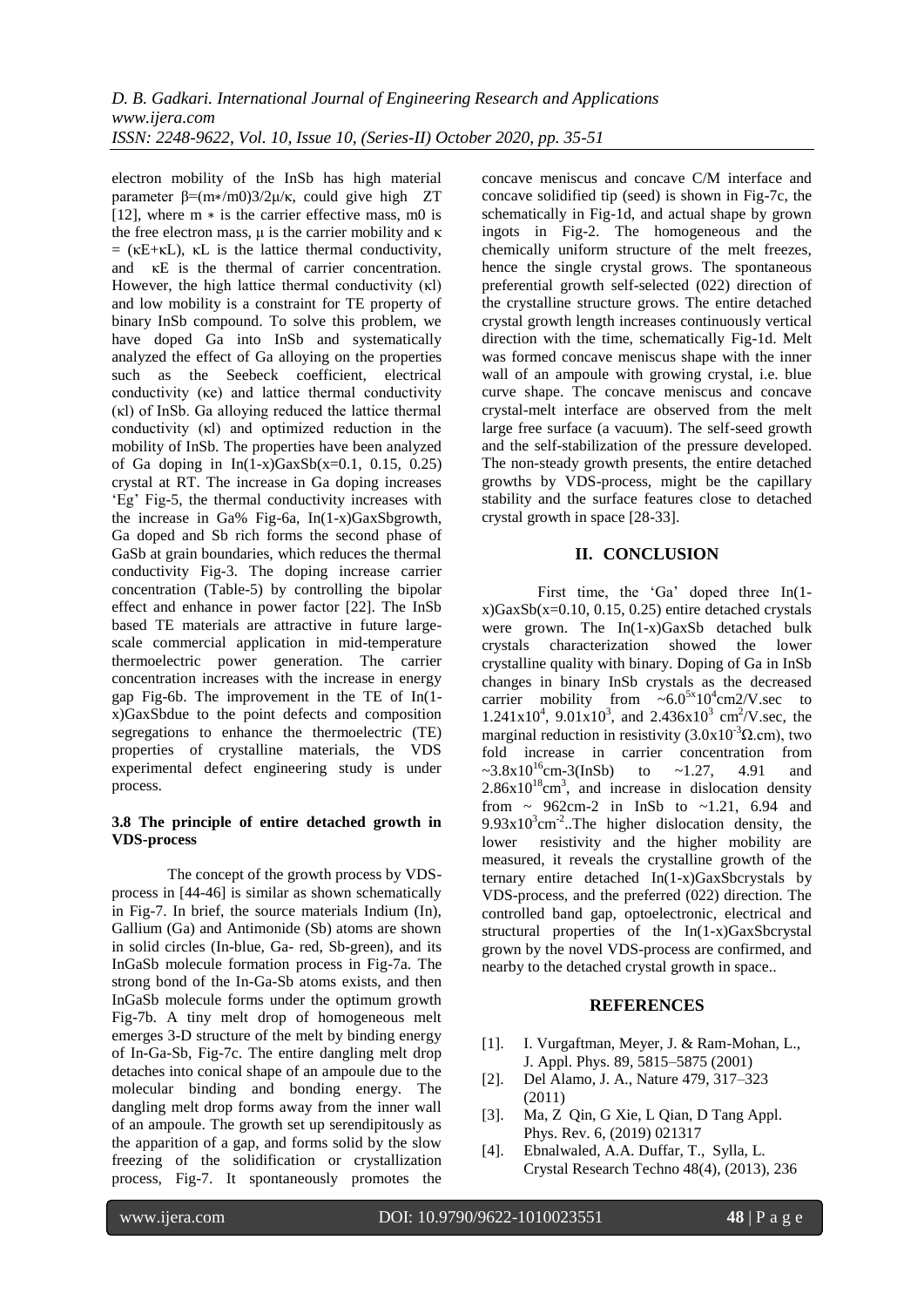electron mobility of the InSb has high material parameter β=(m∗/m0)3/2μ/κ, could give high ZT [12], where m  $*$  is the carrier effective mass, m0 is the free electron mass,  $\mu$  is the carrier mobility and κ  $=$  ( $\kappa$ E+ $\kappa$ L),  $\kappa$ L is the lattice thermal conductivity, and κE is the thermal of carrier concentration. However, the high lattice thermal conductivity (κl) and low mobility is a constraint for TE property of binary InSb compound. To solve this problem, we have doped Ga into InSb and systematically analyzed the effect of Ga alloying on the properties such as the Seebeck coefficient, electrical conductivity (κe) and lattice thermal conductivity (κl) of InSb. Ga alloying reduced the lattice thermal conductivity (κl) and optimized reduction in the mobility of InSb. The properties have been analyzed of Ga doping in  $In(1-x)GaxSb(x=0.1, 0.15, 0.25)$ crystal at RT. The increase in Ga doping increases 'Eg' Fig-5, the thermal conductivity increases with the increase in Ga% Fig-6a, In(1-x)GaxSbgrowth, Ga doped and Sb rich forms the second phase of GaSb at grain boundaries, which reduces the thermal conductivity Fig-3. The doping increase carrier concentration (Table-5) by controlling the bipolar effect and enhance in power factor [22]. The InSb based TE materials are attractive in future largescale commercial application in mid-temperature thermoelectric power generation. The carrier concentration increases with the increase in energy gap Fig-6b. The improvement in the TE of In(1 x)GaxSbdue to the point defects and composition segregations to enhance the thermoelectric (TE) properties of crystalline materials, the VDS experimental defect engineering study is under process.

### **3.8 The principle of entire detached growth in VDS-process**

The concept of the growth process by VDSprocess in [44-46] is similar as shown schematically in Fig-7. In brief, the source materials Indium (In), Gallium (Ga) and Antimonide (Sb) atoms are shown in solid circles (In-blue, Ga- red, Sb-green), and its InGaSb molecule formation process in Fig-7a. The strong bond of the In-Ga-Sb atoms exists, and then InGaSb molecule forms under the optimum growth Fig-7b. A tiny melt drop of homogeneous melt emerges 3-D structure of the melt by binding energy of In-Ga-Sb, Fig-7c. The entire dangling melt drop detaches into conical shape of an ampoule due to the molecular binding and bonding energy. The dangling melt drop forms away from the inner wall of an ampoule. The growth set up serendipitously as the apparition of a gap, and forms solid by the slow freezing of the solidification or crystallization process, Fig-7. It spontaneously promotes the

concave meniscus and concave C/M interface and concave solidified tip (seed) is shown in Fig-7c, the schematically in Fig-1d, and actual shape by grown ingots in Fig-2. The homogeneous and the chemically uniform structure of the melt freezes, hence the single crystal grows. The spontaneous preferential growth self-selected (022) direction of the crystalline structure grows. The entire detached crystal growth length increases continuously vertical direction with the time, schematically Fig-1d. Melt was formed concave meniscus shape with the inner wall of an ampoule with growing crystal, i.e. blue curve shape. The concave meniscus and concave crystal-melt interface are observed from the melt large free surface (a vacuum). The self-seed growth and the self-stabilization of the pressure developed. The non-steady growth presents, the entire detached growths by VDS-process, might be the capillary stability and the surface features close to detached crystal growth in space [28-33].

# **II. CONCLUSION**

First time, the 'Ga' doped three In(1 $x)GaxSb(x=0.10, 0.15, 0.25)$  entire detached crystals were grown. The In(1-x)GaxSb detached bulk crystals characterization showed the lower crystalline quality with binary. Doping of Ga in InSb changes in binary InSb crystals as the decreased carrier mobility from  $\sim 6.0^{5x} 10^4$ cm2/V.sec to  $1.241 \times 10^4$ ,  $9.01 \times 10^3$ , and  $2.436 \times 10^3$  cm<sup>2</sup>/V.sec, the marginal reduction in resistivity  $(3.0x10^{-3} \Omega.cm)$ , two fold increase in carrier concentration from  $\sim 3.8 \times 10^{16}$ cm-3(InSb) to  $\sim 1.27$ , 4.91 and  $2.86x10^{18}cm^3$ , and increase in dislocation density from  $\sim$  962cm-2 in InSb to ~1.21, 6.94 and  $9.93 \times 10^{3}$ cm<sup>-2</sup>..The higher dislocation density, the lower resistivity and the higher mobility are measured, it reveals the crystalline growth of the ternary entire detached In(1-x)GaxSbcrystals by VDS-process, and the preferred (022) direction. The controlled band gap, optoelectronic, electrical and structural properties of the In(1-x)GaxSbcrystal grown by the novel VDS-process are confirmed, and nearby to the detached crystal growth in space..

# **REFERENCES**

- [1]. I. Vurgaftman, Meyer, J. & Ram-Mohan, L., J. Appl. Phys. 89, 5815–5875 (2001)
- [2]. Del Alamo, J. A., Nature 479, 317–323 (2011)
- [3]. Ma, Z Qin, G Xie, L Qian, D Tang Appl. Phys. Rev. 6, (2019) 021317
- [4]. Ebnalwaled, A.A. Duffar, T., Sylla, L. Crystal Research Techno 48(4), (2013), 236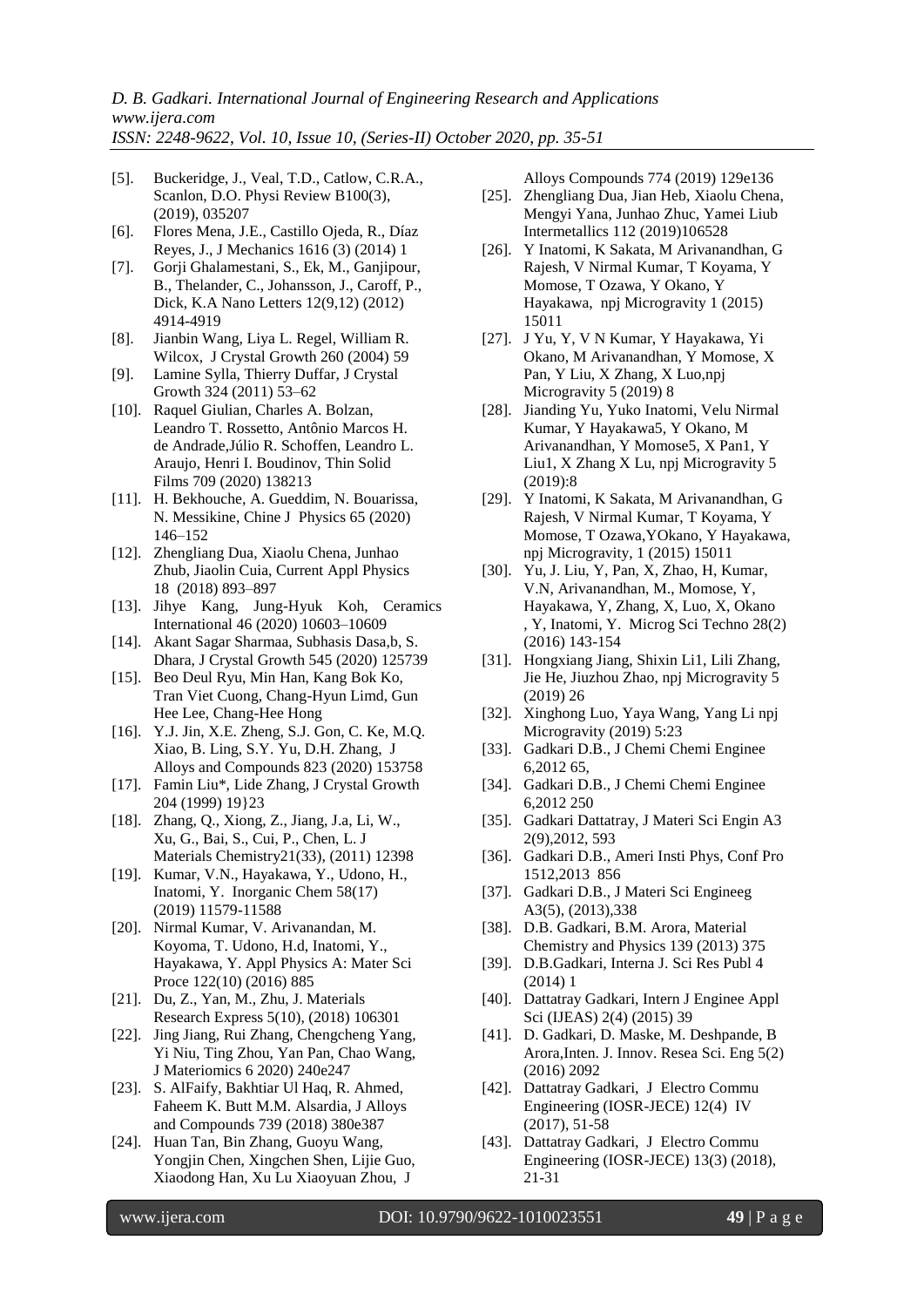- [5]. Buckeridge, J., Veal, T.D., Catlow, C.R.A., Scanlon, D.O. Physi Review B100(3), (2019), 035207
- [6]. Flores Mena, J.E., Castillo Ojeda, R., Díaz Reyes, J., J Mechanics 1616 (3) (2014) 1
- [7]. Gorji Ghalamestani, S., Ek, M., Ganjipour, B., Thelander, C., Johansson, J., Caroff, P., Dick, K.A Nano Letters 12(9,12) (2012) 4914-4919
- [8]. Jianbin Wang, Liya L. Regel, William R. Wilcox, J Crystal Growth 260 (2004) 59
- [9]. Lamine Sylla, Thierry Duffar, J Crystal Growth 324 (2011) 53–62
- [10]. Raquel Giulian, Charles A. Bolzan, Leandro T. Rossetto, Antônio Marcos H. de Andrade,Júlio R. Schoffen, Leandro L. Araujo, Henri I. Boudinov, Thin Solid Films 709 (2020) 138213
- [11]. H. Bekhouche, A. Gueddim, N. Bouarissa, N. Messikine, Chine J Physics 65 (2020) 146–152
- [12]. Zhengliang Dua, Xiaolu Chena, Junhao Zhub, Jiaolin Cuia, Current Appl Physics 18 (2018) 893–897
- [13]. Jihye Kang, Jung-Hyuk Koh, Ceramics International 46 (2020) 10603–10609
- [14]. Akant Sagar Sharmaa, Subhasis Dasa,b, S. Dhara, J Crystal Growth 545 (2020) 125739
- [15]. Beo Deul Ryu, Min Han, Kang Bok Ko, Tran Viet Cuong, Chang-Hyun Limd, Gun Hee Lee, Chang-Hee Hong
- [16]. Y.J. Jin, X.E. Zheng, S.J. Gon, C. Ke, M.Q. Xiao, B. Ling, S.Y. Yu, D.H. Zhang, J Alloys and Compounds 823 (2020) 153758
- [17]. Famin Liu\*, Lide Zhang, J Crystal Growth 204 (1999) 19}23
- [18]. Zhang, Q., Xiong, Z., Jiang, J.a, Li, W., Xu, G., Bai, S., Cui, P., Chen, L. J Materials Chemistry21(33), (2011) 12398
- [19]. Kumar, V.N., Hayakawa, Y., Udono, H., Inatomi, Y. Inorganic Chem 58(17) (2019) 11579-11588
- [20]. Nirmal Kumar, V. Arivanandan, M. Koyoma, T. Udono, H.d, Inatomi, Y., Hayakawa, Y. Appl Physics A: Mater Sci Proce 122(10) (2016) 885
- [21]. Du, Z., Yan, M., Zhu, J. Materials Research Express 5(10), (2018) 106301
- [22]. Jing Jiang, Rui Zhang, Chengcheng Yang, Yi Niu, Ting Zhou, Yan Pan, Chao Wang, J Materiomics 6 2020) 240e247
- [23]. S. AlFaify, Bakhtiar Ul Haq, R. Ahmed, Faheem K. Butt M.M. Alsardia, J Alloys and Compounds 739 (2018) 380e387
- [24]. Huan Tan, Bin Zhang, Guoyu Wang, Yongjin Chen, Xingchen Shen, Lijie Guo, Xiaodong Han, Xu Lu Xiaoyuan Zhou, J

Alloys Compounds 774 (2019) 129e136

- [25]. Zhengliang Dua, Jian Heb, Xiaolu Chena, Mengyi Yana, Junhao Zhuc, Yamei Liub Intermetallics 112 (2019)106528
- [26]. Y Inatomi, K Sakata, M Arivanandhan, G Rajesh, V Nirmal Kumar, T Koyama, Y Momose, T Ozawa, Y Okano, Y Hayakawa, npj Microgravity 1 (2015) 15011
- [27]. J Yu, Y, V N Kumar, Y Hayakawa, Yi Okano, M Arivanandhan, Y Momose, X Pan, Y Liu, X Zhang, X Luo,npj Microgravity 5 (2019) 8
- [28]. Jianding Yu, Yuko Inatomi, Velu Nirmal Kumar, Y Hayakawa5, Y Okano, M Arivanandhan, Y Momose5, X Pan1, Y Liu1, X Zhang X Lu, npj Microgravity 5 (2019):8
- [29]. Y Inatomi, K Sakata, M Arivanandhan, G Rajesh, V Nirmal Kumar, T Koyama, Y Momose, T Ozawa,YOkano, Y Hayakawa, npj Microgravity, 1 (2015) 15011
- [30]. Yu, J. Liu, Y, Pan, X, Zhao, H, Kumar, V.N, Arivanandhan, M., Momose, Y, Hayakawa, Y, Zhang, X, Luo, X, Okano , Y, Inatomi, Y. Microg Sci Techno 28(2) (2016) 143-154
- [31]. Hongxiang Jiang, Shixin Li1, Lili Zhang, Jie He, Jiuzhou Zhao, npj Microgravity 5 (2019) 26
- [32]. Xinghong Luo, Yaya Wang, Yang Li npj Microgravity (2019) 5:23
- [33]. Gadkari D.B., J Chemi Chemi Enginee 6,2012 65,
- [34]. Gadkari D.B., J Chemi Chemi Enginee 6,2012 250
- [35]. Gadkari Dattatray, J Materi Sci Engin A3 2(9),2012, 593
- [36]. Gadkari D.B., Ameri Insti Phys, Conf Pro 1512,2013 856
- [37]. Gadkari D.B., J Materi Sci Engineeg A3(5), (2013),338
- [38]. D.B. Gadkari, B.M. Arora, Material Chemistry and Physics 139 (2013) 375
- [39]. D.B.Gadkari, Interna J. Sci Res Publ 4 (2014) 1
- [40]. Dattatray Gadkari, Intern J Enginee Appl Sci (IJEAS) 2(4) (2015) 39
- [41]. D. Gadkari, D. Maske, M. Deshpande, B Arora,Inten. J. Innov. Resea Sci. Eng 5(2) (2016) 2092
- [42]. Dattatray Gadkari, J Electro Commu Engineering (IOSR-JECE) 12(4) IV (2017), 51-58
- [43]. Dattatray Gadkari, J Electro Commu Engineering (IOSR-JECE) 13(3) (2018), 21-31